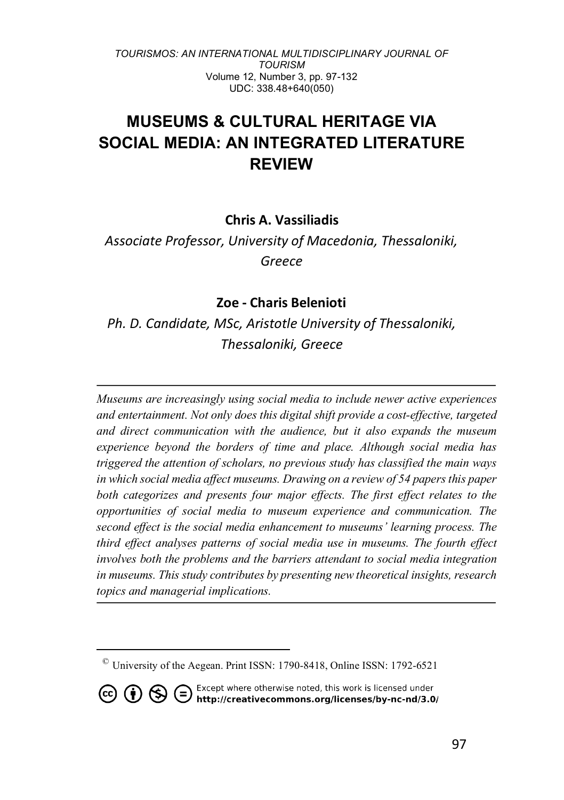# **MUSEUMS & CULTURAL HERITAGE VIA SOCIAL MEDIA: AN INTEGRATED LITERATURE REVIEW**

### **Chris A. Vassiliadis**

*Assοciate Professor, University of Macedonia, Thessaloniki, Greece*

### **Zoe - Charis Belenioti**

*Ph. D. Candidate, MSc, Aristotle University of Thessaloniki, Thessaloniki, Greece*

*Museums are increasingly using social media to include newer active experiences and entertainment. Not only does this digital shift provide a cost-effective, targeted and direct communication with the audience, but it also expands the museum experience beyond the borders of time and place. Although social media has triggered the attention of scholars, no previous study has classified the main ways in which social media affect museums. Drawing on a review of 54 papers this paper both categorizes and presents four major effects. The first effect relates to the opportunities of social media to museum experience and communication. The second effect is the social media enhancement to museums' learning process. The third effect analyses patterns of social media use in museums. The fourth effect involves both the problems and the barriers attendant to social media integration in museums. This study contributes by presenting new theoretical insights, research topics and managerial implications.*

 $\overline{a}$ 

**CO (i)**  $\bigoplus$  **C** Except where otherwise noted, this work is licensed under **http://creativecommons.org/licenses/by-nc-nd/3.0/** 

<sup>©</sup> University of the Aegean. Print ISSN: 1790-8418, Online ISSN: 1792-6521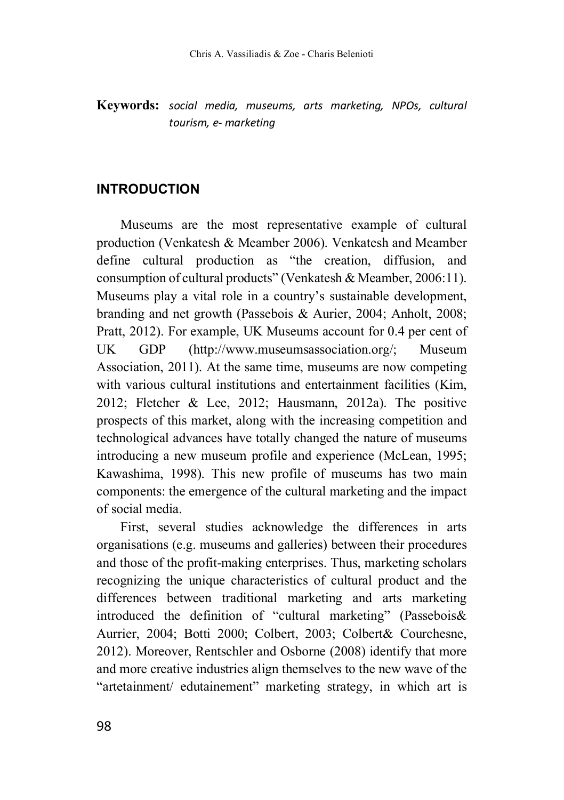**Keywords:** *social media, museums, arts marketing, NPOs, cultural tourism, e- marketing*

### **INTRODUCTION**

Museums are the most representative example of cultural production (Venkatesh & Meamber 2006). Venkatesh and Meamber define cultural production as "the creation, diffusion, and consumption of cultural products" (Venkatesh & Meamber, 2006:11). Museums play a vital role in a country's sustainable development, branding and net growth (Passebois & Aurier, 2004; Anholt, 2008; Pratt, 2012). For example, UK Museums account for 0.4 per cent of UK GDP (http://www.museumsassociation.org/; Museum Association, 2011). At the same time, museums are now competing with various cultural institutions and entertainment facilities (Kim, 2012; Fletcher & Lee, 2012; Hausmann, 2012a). The positive prospects of this market, along with the increasing competition and technological advances have totally changed the nature of museums introducing a new museum profile and experience (McLean, 1995; Kawashima, 1998). This new profile of museums has two main components: the emergence of the cultural marketing and the impact of social media.

First, several studies acknowledge the differences in arts organisations (e.g. museums and galleries) between their procedures and those of the profit-making enterprises. Thus, marketing scholars recognizing the unique characteristics of cultural product and the differences between traditional marketing and arts marketing introduced the definition of "cultural marketing" (Passebois& Aurrier, 2004; Botti 2000; Colbert, 2003; Colbert& Courchesne, 2012). Moreover, Rentschler and Osborne (2008) identify that more and more creative industries align themselves to the new wave of the "artetainment/ edutainement" marketing strategy, in which art is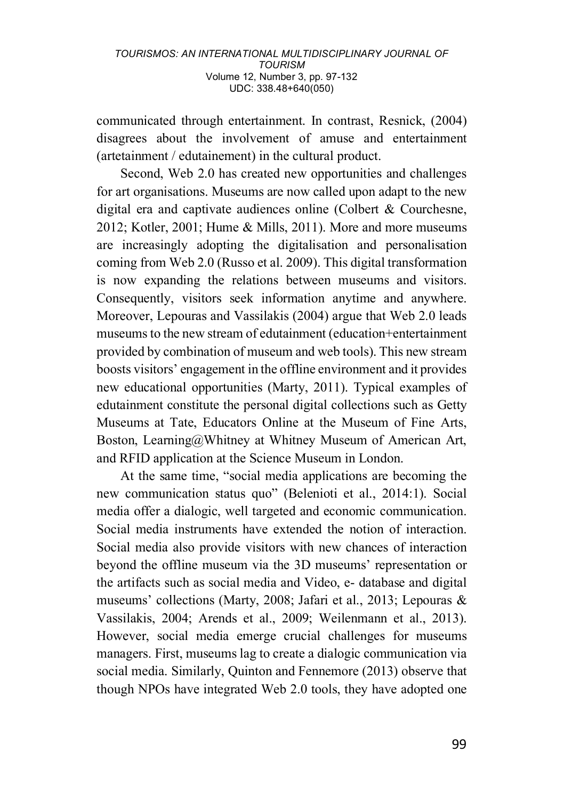communicated through entertainment. In contrast, Resnick, (2004) disagrees about the involvement of amuse and entertainment (artetainment / edutainement) in the cultural product.

Second, Web 2.0 has created new opportunities and challenges for art organisations. Museums are now called upon adapt to the new digital era and captivate audiences online (Colbert & Courchesne, 2012; Kotler, 2001; Hume & Mills, 2011). More and more museums are increasingly adopting the digitalisation and personalisation coming from Web 2.0 (Russo et al. 2009). This digital transformation is now expanding the relations between museums and visitors. Consequently, visitors seek information anytime and anywhere. Moreover, Lepouras and Vassilakis (2004) argue that Web 2.0 leads museums to the new stream of edutainment (education+entertainment provided by combination of museum and web tools). This new stream boosts visitors' engagement in the offline environment and it provides new educational opportunities (Marty, 2011). Typical examples of edutainment constitute the personal digital collections such as Getty Museums at Tate, Educators Online at the Museum of Fine Arts, Boston, Learning@Whitney at Whitney Museum of American Art, and RFID application at the Science Museum in London.

At the same time, "social media applications are becoming the new communication status quo" (Belenioti et al., 2014:1). Social media offer a dialogic, well targeted and economic communication. Social media instruments have extended the notion of interaction. Social media also provide visitors with new chances of interaction beyond the offline museum via the 3D museums' representation or the artifacts such as social media and Video, e- database and digital museums' collections (Marty, 2008; Jafari et al., 2013; Lepouras & Vassilakis, 2004; Arends et al., 2009; Weilenmann et al., 2013). However, social media emerge crucial challenges for museums managers. First, museums lag to create a dialogic communication via social media. Similarly, Quinton and Fennemore (2013) observe that though NPOs have integrated Web 2.0 tools, they have adopted one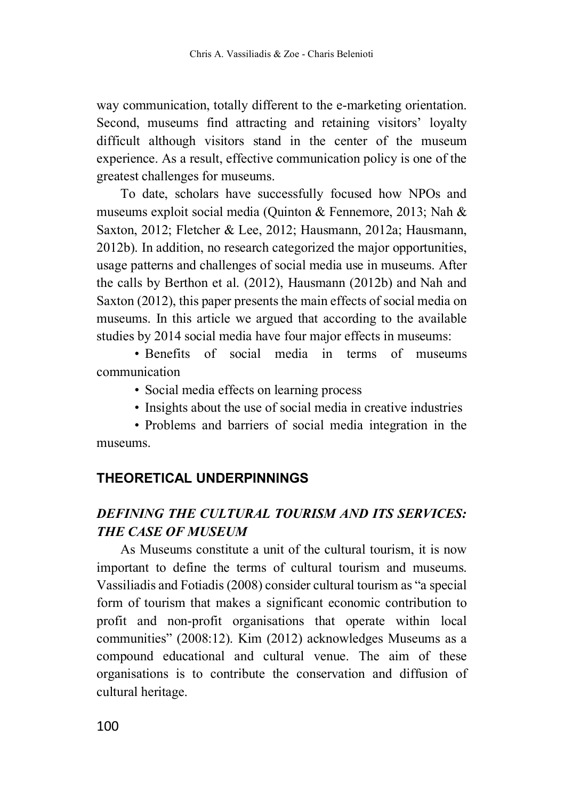way communication, totally different to the e-marketing orientation. Second, museums find attracting and retaining visitors' loyalty difficult although visitors stand in the center of the museum experience. As a result, effective communication policy is one of the greatest challenges for museums.

To date, scholars have successfully focused how NPOs and museums exploit social media (Quinton & Fennemore, 2013; Nah & Saxton, 2012; Fletcher & Lee, 2012; Hausmann, 2012a; Hausmann, 2012b). In addition, no research categorized the major opportunities, usage patterns and challenges of social media use in museums. After the calls by Berthon et al. (2012), Hausmann (2012b) and Nah and Saxton (2012), this paper presents the main effects of social media on museums. In this article we argued that according to the available studies by 2014 social media have four major effects in museums:

• Benefits of social media in terms of museums communication

- Social media effects on learning process
- Insights about the use of social media in creative industries

• Problems and barriers of social media integration in the museums.

# **THEORETICAL UNDERPINNINGS**

# *DEFINING THE CULTURAL TOURISM AND ITS SERVICES: THE CASE OF MUSEUM*

As Museums constitute a unit of the cultural tourism, it is now important to define the terms of cultural tourism and museums. Vassiliadis and Fotiadis (2008) consider cultural tourism as "a special form of tourism that makes a significant economic contribution to profit and non-profit organisations that operate within local communities" (2008:12). Kim (2012) acknowledges Museums as a compound educational and cultural venue. The aim of these organisations is to contribute the conservation and diffusion of cultural heritage.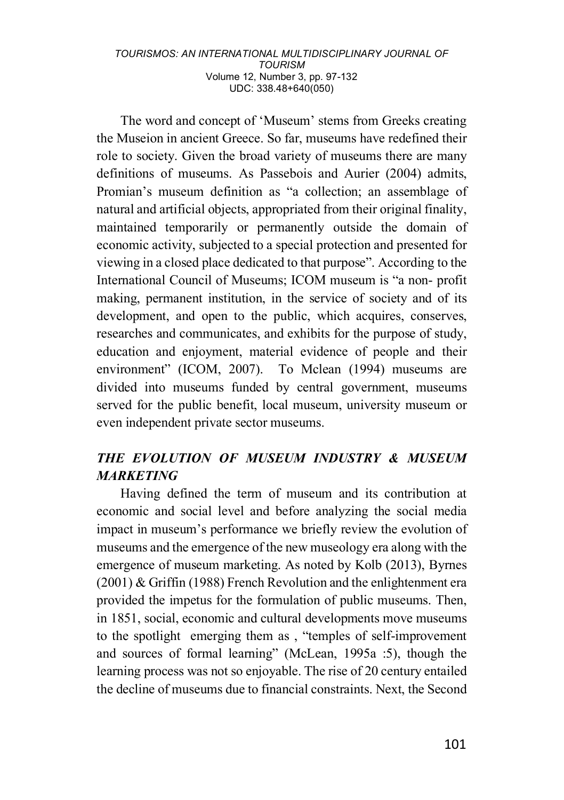The word and concept of 'Museum' stems from Greeks creating the Museion in ancient Greece. So far, museums have redefined their role to society. Given the broad variety of museums there are many definitions of museums. As Passebois and Aurier (2004) admits, Promian's museum definition as "a collection; an assemblage of natural and artificial objects, appropriated from their original finality, maintained temporarily or permanently outside the domain of economic activity, subjected to a special protection and presented for viewing in a closed place dedicated to that purpose". According to the International Council of Museums; ICOM museum is "a non- profit making, permanent institution, in the service of society and of its development, and open to the public, which acquires, conserves, researches and communicates, and exhibits for the purpose of study, education and enjoyment, material evidence of people and their environment" (ICOM, 2007). To Mclean (1994) museums are divided into museums funded by central government, museums served for the public benefit, local museum, university museum or even independent private sector museums.

# *THE EVOLUTION OF MUSEUM INDUSTRY & MUSEUM MARKETING*

Having defined the term of museum and its contribution at economic and social level and before analyzing the social media impact in museum's performance we briefly review the evolution of museums and the emergence of the new museology era along with the emergence of museum marketing. As noted by Kolb (2013), Byrnes (2001) & Griffin (1988) French Revolution and the enlightenment era provided the impetus for the formulation of public museums. Then, in 1851, social, economic and cultural developments move museums to the spotlight emerging them as , "temples of self-improvement and sources of formal learning" (McLean, 1995a :5), though the learning process was not so enjoyable. The rise of 20 century entailed the decline of museums due to financial constraints. Next, the Second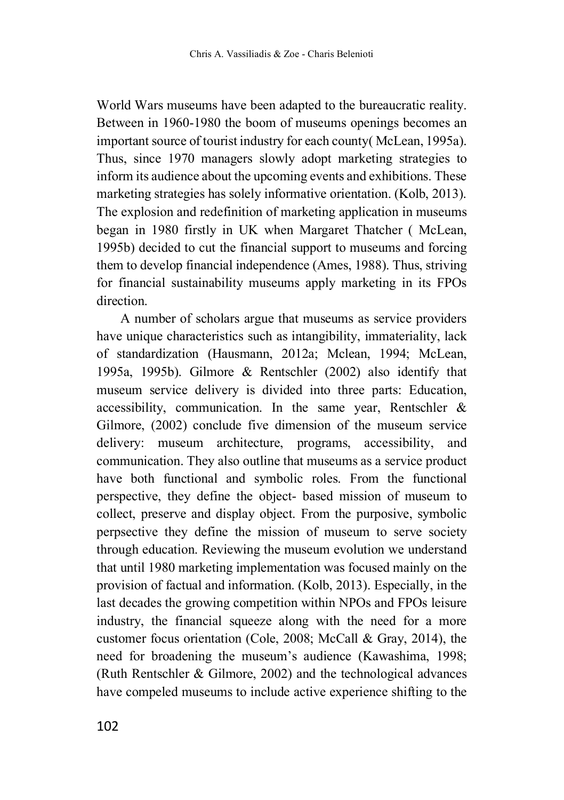World Wars museums have been adapted to the bureaucratic reality. Between in 1960-1980 the boom of museums openings becomes an important source of tourist industry for each county( McLean, 1995a). Thus, since 1970 managers slowly adopt marketing strategies to inform its audience about the upcoming events and exhibitions. These marketing strategies has solely informative orientation. (Kolb, 2013). The explosion and redefinition of marketing application in museums began in 1980 firstly in UK when Margaret Thatcher ( McLean, 1995b) decided to cut the financial support to museums and forcing them to develop financial independence (Ames, 1988). Thus, striving for financial sustainability museums apply marketing in its FPOs direction.

A number of scholars argue that museums as service providers have unique characteristics such as intangibility, immateriality, lack of standardization (Hausmann, 2012a; Mclean, 1994; McLean, 1995a, 1995b). Gilmore & Rentschler (2002) also identify that museum service delivery is divided into three parts: Education, accessibility, communication. In the same year, Rentschler & Gilmore, (2002) conclude five dimension of the museum service delivery: museum architecture, programs, accessibility, and communication. They also outline that museums as a service product have both functional and symbolic roles. From the functional perspective, they define the object- based mission of museum to collect, preserve and display object. From the purposive, symbolic perpsective they define the mission of museum to serve society through education. Reviewing the museum evolution we understand that until 1980 marketing implementation was focused mainly on the provision of factual and information. (Kolb, 2013). Especially, in the last decades the growing competition within NPOs and FPOs leisure industry, the financial squeeze along with the need for a more customer focus orientation (Cole, 2008; McCall & Gray, 2014), the need for broadening the museum's audience (Kawashima, 1998; (Ruth Rentschler & Gilmore, 2002) and the technological advances have compeled museums to include active experience shifting to the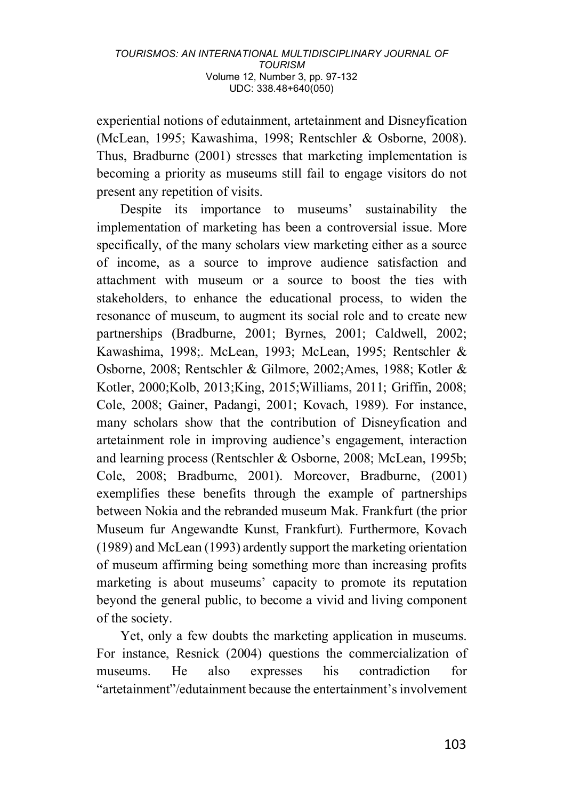experiential notions of edutainment, artetainment and Disneyfication (McLean, 1995; Kawashima, 1998; Rentschler & Osborne, 2008). Thus, Bradburne (2001) stresses that marketing implementation is becoming a priority as museums still fail to engage visitors do not present any repetition of visits.

Despite its importance to museums' sustainability the implementation of marketing has been a controversial issue. More specifically, of the many scholars view marketing either as a source of income, as a source to improve audience satisfaction and attachment with museum or a source to boost the ties with stakeholders, to enhance the educational process, to widen the resonance of museum, to augment its social role and to create new partnerships (Bradburne, 2001; Byrnes, 2001; Caldwell, 2002; Kawashima, 1998;. McLean, 1993; McLean, 1995; Rentschler & Osborne, 2008; Rentschler & Gilmore, 2002;Ames, 1988; Kotler & Kotler, 2000;Kolb, 2013;King, 2015;Williams, 2011; Griffin, 2008; Cole, 2008; Gainer, Padangi, 2001; Kovach, 1989). For instance, many scholars show that the contribution of Disneyfication and artetainment role in improving audience's engagement, interaction and learning process (Rentschler & Osborne, 2008; McLean, 1995b; Cole, 2008; Bradburne, 2001). Moreover, Bradburne, (2001) exemplifies these benefits through the example of partnerships between Nokia and the rebranded museum Mak. Frankfurt (the prior Museum fur Angewandte Kunst, Frankfurt). Furthermore, Kovach (1989) and McLean (1993) ardently support the marketing orientation of museum affirming being something more than increasing profits marketing is about museums' capacity to promote its reputation beyond the general public, to become a vivid and living component of the society.

Yet, only a few doubts the marketing application in museums. For instance, Resnick (2004) questions the commercialization of museums. He also expresses his contradiction for "artetainment"/edutainment because the entertainment's involvement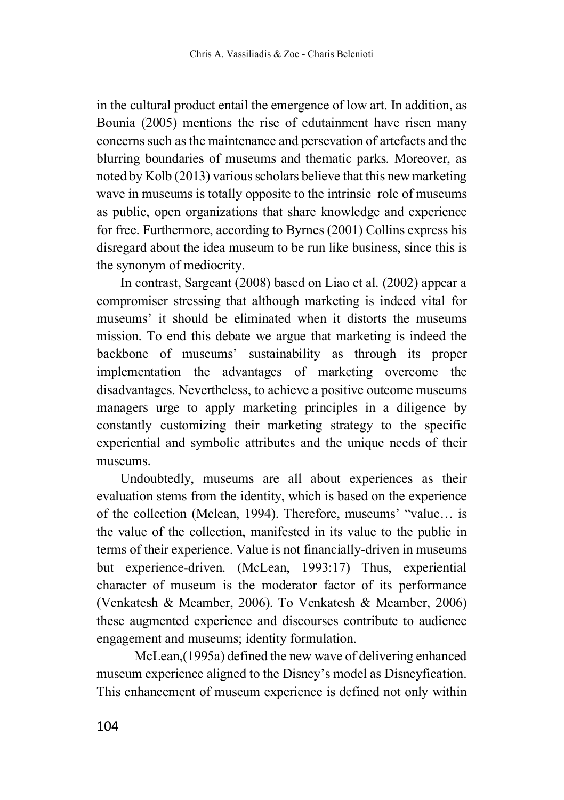in the cultural product entail the emergence of low art. In addition, as Bounia (2005) mentions the rise of edutainment have risen many concerns such as the maintenance and persevation of artefacts and the blurring boundaries of museums and thematic parks. Moreover, as noted by Kolb (2013) various scholars believe that this new marketing wave in museums is totally opposite to the intrinsic role of museums as public, open organizations that share knowledge and experience for free. Furthermore, according to Byrnes (2001) Collins express his disregard about the idea museum to be run like business, since this is the synonym of mediocrity.

In contrast, Sargeant (2008) based on Liao et al. (2002) appear a compromiser stressing that although marketing is indeed vital for museums' it should be eliminated when it distorts the museums mission. To end this debate we argue that marketing is indeed the backbone of museums' sustainability as through its proper implementation the advantages of marketing overcome the disadvantages. Nevertheless, to achieve a positive outcome museums managers urge to apply marketing principles in a diligence by constantly customizing their marketing strategy to the specific experiential and symbolic attributes and the unique needs of their museums.

Undoubtedly, museums are all about experiences as their evaluation stems from the identity, which is based on the experience of the collection (Mclean, 1994). Therefore, museums' "value… is the value of the collection, manifested in its value to the public in terms of their experience. Value is not financially-driven in museums but experience-driven. (McLean, 1993:17) Thus, experiential character of museum is the moderator factor of its performance (Venkatesh & Meamber, 2006). To Venkatesh & Meamber, 2006) these augmented experience and discourses contribute to audience engagement and museums; identity formulation.

McLean,(1995a) defined the new wave of delivering enhanced museum experience aligned to the Disney's model as Disneyfication. This enhancement of museum experience is defined not only within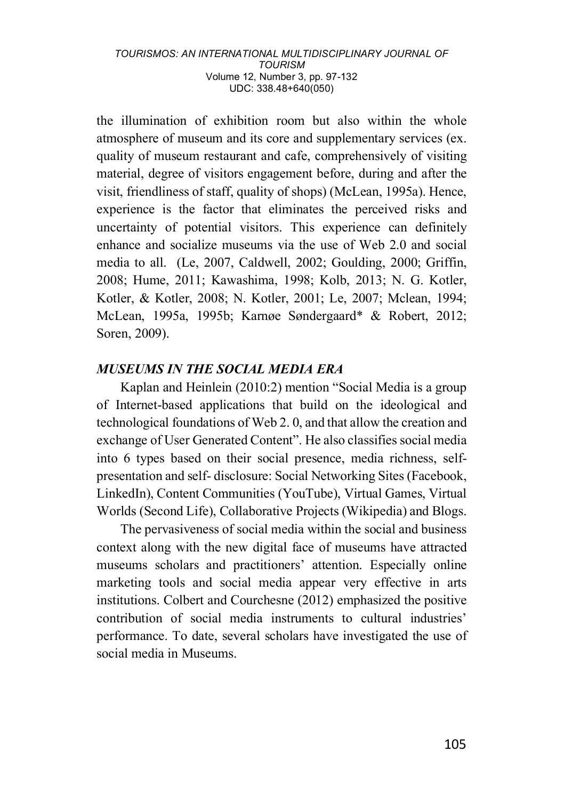the illumination of exhibition room but also within the whole atmosphere of museum and its core and supplementary services (ex. quality of museum restaurant and cafe, comprehensively of visiting material, degree of visitors engagement before, during and after the visit, friendliness of staff, quality of shops) (McLean, 1995a). Hence, experience is the factor that eliminates the perceived risks and uncertainty of potential visitors. This experience can definitely enhance and socialize museums via the use of Web 2.0 and social media to all. (Le, 2007, Caldwell, 2002; Goulding, 2000; Griffin, 2008; Hume, 2011; Kawashima, 1998; Kolb, 2013; N. G. Kotler, Kotler, & Kotler, 2008; N. Kotler, 2001; Le, 2007; Mclean, 1994; McLean, 1995a, 1995b; Karnøe Søndergaard\* & Robert, 2012; Soren, 2009).

### *MUSEUMS IN THE SOCIAL MEDIA ERA*

Kaplan and Heinlein (2010:2) mention "Social Media is a group of Internet-based applications that build on the ideological and technological foundations of Web 2. 0, and that allow the creation and exchange of User Generated Content". He also classifies social media into 6 types based on their social presence, media richness, selfpresentation and self- disclosure: Social Networking Sites (Facebook, LinkedIn), Content Communities (YouTube), Virtual Games, Virtual Worlds (Second Life), Collaborative Projects (Wikipedia) and Blogs.

The pervasiveness of social media within the social and business context along with the new digital face of museums have attracted museums scholars and practitioners' attention. Especially online marketing tools and social media appear very effective in arts institutions. Colbert and Courchesne (2012) emphasized the positive contribution of social media instruments to cultural industries' performance. To date, several scholars have investigated the use of social media in Museums.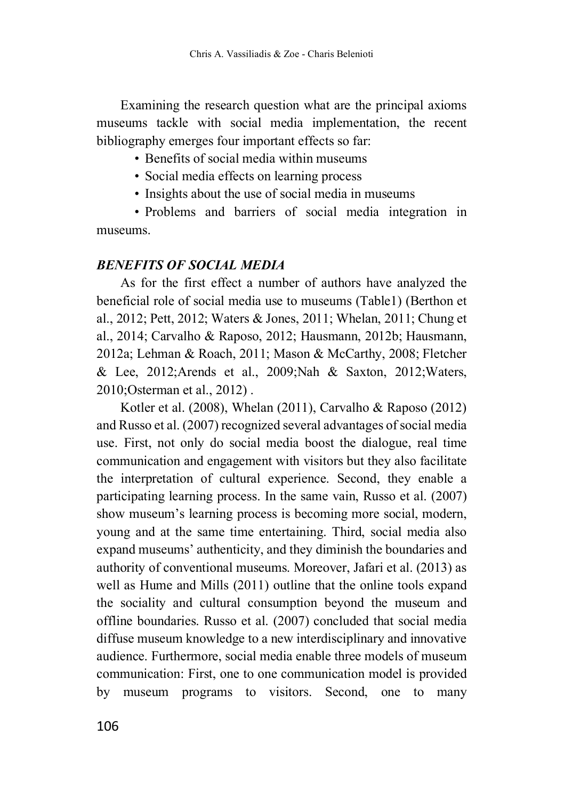Examining the research question what are the principal axioms museums tackle with social media implementation, the recent bibliography emerges four important effects so far:

• Benefits of social media within museums

• Social media effects on learning process

• Insights about the use of social media in museums

• Problems and barriers of social media integration in museums.

### *BENEFITS OF SOCIAL MEDIA*

As for the first effect a number of authors have analyzed the beneficial role of social media use to museums (Table1) (Berthon et al., 2012; Pett, 2012; Waters & Jones, 2011; Whelan, 2011; Chung et al., 2014; Carvalho & Raposo, 2012; Hausmann, 2012b; Hausmann, 2012a; Lehman & Roach, 2011; Mason & McCarthy, 2008; Fletcher & Lee, 2012;Arends et al., 2009;Nah & Saxton, 2012;Waters, 2010;Osterman et al., 2012) .

Kotler et al. (2008), Whelan (2011), Carvalho & Raposo (2012) and Russo et al. (2007) recognized several advantages of social media use. First, not only do social media boost the dialogue, real time communication and engagement with visitors but they also facilitate the interpretation of cultural experience. Second, they enable a participating learning process. In the same vain, Russo et al. (2007) show museum's learning process is becoming more social, modern, young and at the same time entertaining. Third, social media also expand museums' authenticity, and they diminish the boundaries and authority of conventional museums. Moreover, Jafari et al. (2013) as well as Hume and Mills (2011) outline that the online tools expand the sociality and cultural consumption beyond the museum and offline boundaries. Russo et al. (2007) concluded that social media diffuse museum knowledge to a new interdisciplinary and innovative audience. Furthermore, social media enable three models of museum communication: First, one to one communication model is provided by museum programs to visitors. Second, one to many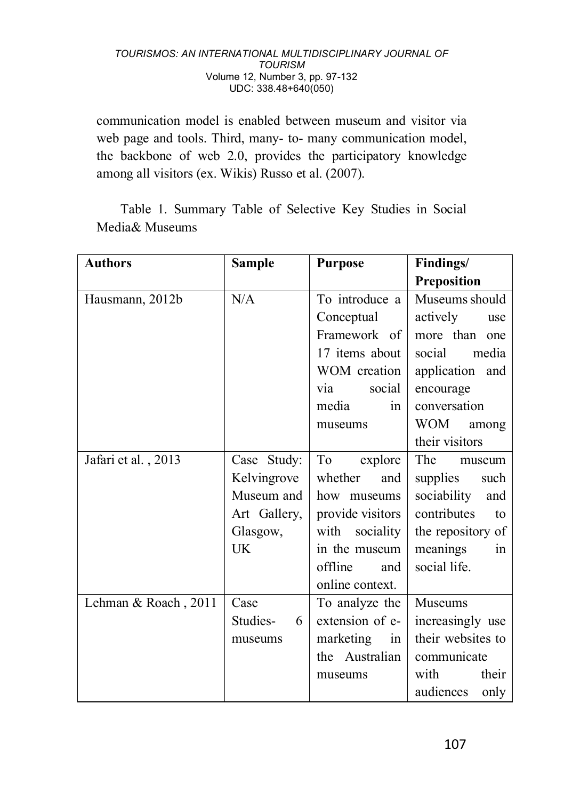communication model is enabled between museum and visitor via web page and tools. Third, many- to- many communication model, the backbone of web 2.0, provides the participatory knowledge among all visitors (ex. Wikis) Russo et al. (2007).

Table 1. Summary Table of Selective Key Studies in Social Media& Museums

| <b>Authors</b>       | <b>Sample</b> | <b>Purpose</b>    | Findings/          |
|----------------------|---------------|-------------------|--------------------|
|                      |               |                   | Preposition        |
| Hausmann, 2012b      | N/A           | To introduce a    | Museums should     |
|                      |               | Conceptual        | actively<br>use    |
|                      |               | Framework of      | more than<br>one   |
|                      |               | 17 items about    | social<br>media    |
|                      |               | WOM creation      | application and    |
|                      |               | social<br>via     | encourage          |
|                      |               | media<br>in       | conversation       |
|                      |               | museums           | WOM<br>among       |
|                      |               |                   | their visitors     |
| Jafari et al., 2013  | Case Study:   | To<br>explore     | The<br>museum      |
|                      | Kelvingrove   | whether<br>and    | supplies<br>such   |
|                      | Museum and    | how museums       | sociability<br>and |
|                      | Art Gallery,  | provide visitors  | contributes<br>to  |
|                      | Glasgow,      | with<br>sociality | the repository of  |
|                      | UK            | in the museum     | meanings<br>in     |
|                      |               | offline<br>and    | social life.       |
|                      |               | online context.   |                    |
| Lehman & Roach, 2011 | Case          | To analyze the    | Museums            |
|                      | Studies-<br>6 | extension of e-   | increasingly use   |
|                      | museums       | marketing<br>in   | their websites to  |
|                      |               | the Australian    | communicate        |
|                      |               | museums           | with<br>their      |
|                      |               |                   | audiences<br>only  |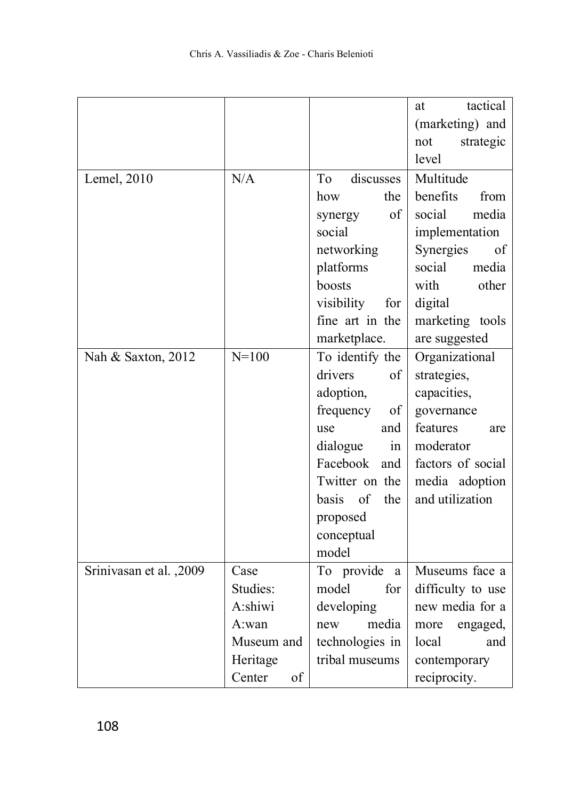|                         |              |                           | tactical<br>at    |
|-------------------------|--------------|---------------------------|-------------------|
|                         |              |                           | (marketing) and   |
|                         |              |                           | not<br>strategic  |
|                         |              |                           | level             |
| Lemel, 2010             | N/A          | discusses<br>To           | Multitude         |
|                         |              | the<br>how                | benefits<br>from  |
|                         |              | οf<br>synergy             | social<br>media   |
|                         |              | social                    | implementation    |
|                         |              | networking                | Synergies<br>of   |
|                         |              | platforms                 | media<br>social   |
|                         |              | boosts                    | with<br>other     |
|                         |              | visibility<br>for         | digital           |
|                         |              | fine art in the           | marketing tools   |
|                         |              | marketplace.              | are suggested     |
| Nah & Saxton, 2012      | $N = 100$    | To identify the           | Organizational    |
|                         |              | drivers<br>of             | strategies,       |
|                         |              | adoption,                 | capacities,       |
|                         |              | frequency<br>of           | governance        |
|                         |              | and<br>use                | features<br>are   |
|                         |              | dialogue<br>in            | moderator         |
|                         |              | Facebook<br>and           | factors of social |
|                         |              | Twitter on the            | media adoption    |
|                         |              | of<br><b>basis</b><br>the | and utilization   |
|                         |              | proposed                  |                   |
|                         |              | conceptual                |                   |
|                         |              | model                     |                   |
| Srinivasan et al., 2009 | Case         | To provide<br>a           | Museums face a    |
|                         | Studies:     | model<br>for              | difficulty to use |
|                         | A:shiwi      | developing                | new media for a   |
|                         | A:wan        | media<br>new              | more<br>engaged,  |
|                         | Museum and   | technologies in           | local<br>and      |
|                         | Heritage     | tribal museums            | contemporary      |
|                         | Center<br>of |                           | reciprocity.      |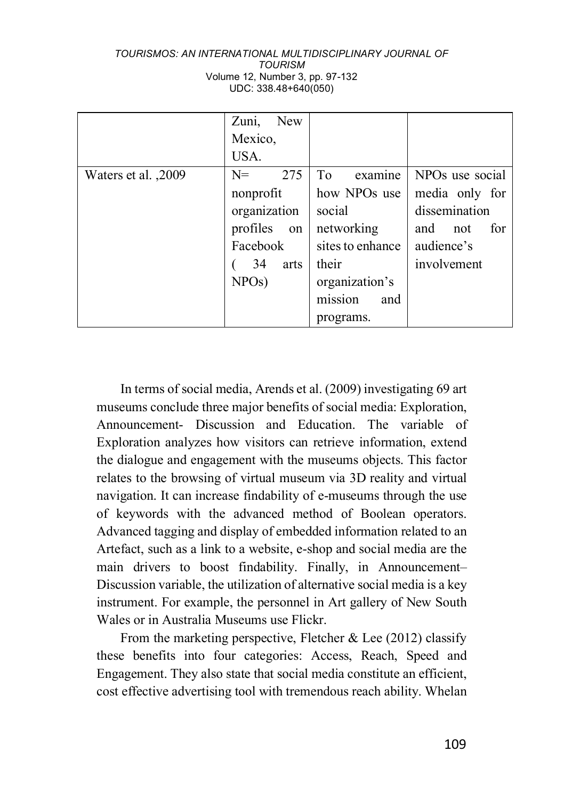|                     | <b>New</b><br>Zuni,<br>Mexico, |                           |                   |
|---------------------|--------------------------------|---------------------------|-------------------|
|                     | USA.                           |                           |                   |
| Waters et al., 2009 | 275<br>$N =$                   | examine<br>T <sub>0</sub> | NPOs use social   |
|                     | nonprofit                      | how NPOs use              | media only for    |
|                     | organization                   | social                    | dissemination     |
|                     | profiles<br>on                 | networking                | and<br>for<br>not |
|                     | Facebook                       | sites to enhance          | audience's        |
|                     | 34<br>arts                     | their                     | involvement       |
|                     | NPOS)                          | organization's            |                   |
|                     |                                | mission<br>and            |                   |
|                     |                                | programs.                 |                   |

In terms of social media, Arends et al. (2009) investigating 69 art museums conclude three major benefits of social media: Exploration, Announcement- Discussion and Education. The variable of Exploration analyzes how visitors can retrieve information, extend the dialogue and engagement with the museums objects. This factor relates to the browsing of virtual museum via 3D reality and virtual navigation. It can increase findability of e-museums through the use of keywords with the advanced method of Boolean operators. Advanced tagging and display of embedded information related to an Artefact, such as a link to a website, e-shop and social media are the main drivers to boost findability. Finally, in Announcement– Discussion variable, the utilization of alternative social media is a key instrument. For example, the personnel in Art gallery of New South Wales or in Australia Museums use Flickr.

From the marketing perspective, Fletcher & Lee  $(2012)$  classify these benefits into four categories: Access, Reach, Speed and Engagement. They also state that social media constitute an efficient, cost effective advertising tool with tremendous reach ability. Whelan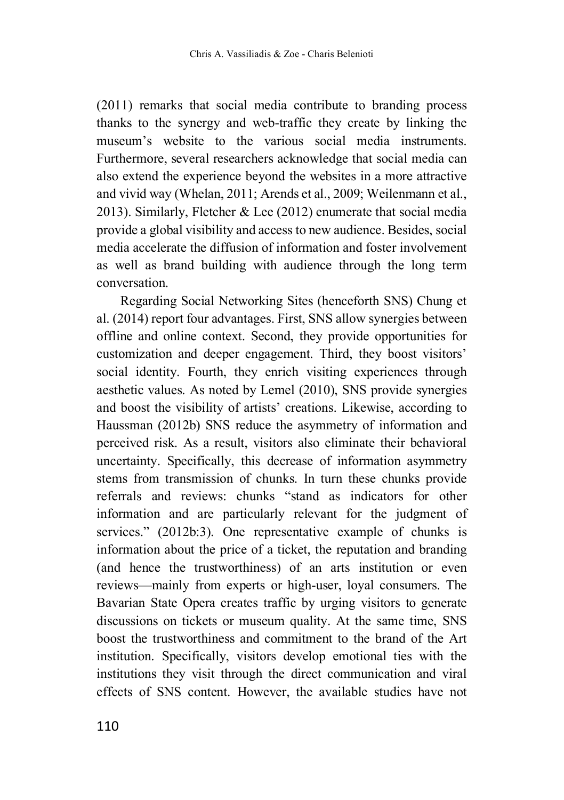(2011) remarks that social media contribute to branding process thanks to the synergy and web-traffic they create by linking the museum's website to the various social media instruments. Furthermore, several researchers acknowledge that social media can also extend the experience beyond the websites in a more attractive and vivid way (Whelan, 2011; Arends et al., 2009; Weilenmann et al., 2013). Similarly, Fletcher & Lee (2012) enumerate that social media provide a global visibility and access to new audience. Besides, social media accelerate the diffusion of information and foster involvement as well as brand building with audience through the long term conversation.

Regarding Social Networking Sites (henceforth SNS) Chung et al. (2014) report four advantages. First, SNS allow synergies between offline and online context. Second, they provide opportunities for customization and deeper engagement. Third, they boost visitors' social identity. Fourth, they enrich visiting experiences through aesthetic values. As noted by Lemel (2010), SNS provide synergies and boost the visibility of artists' creations. Likewise, according to Haussman (2012b) SNS reduce the asymmetry of information and perceived risk. As a result, visitors also eliminate their behavioral uncertainty. Specifically, this decrease of information asymmetry stems from transmission of chunks. In turn these chunks provide referrals and reviews: chunks "stand as indicators for other information and are particularly relevant for the judgment of services." (2012b:3). One representative example of chunks is information about the price of a ticket, the reputation and branding (and hence the trustworthiness) of an arts institution or even reviews—mainly from experts or high-user, loyal consumers. The Bavarian State Opera creates traffic by urging visitors to generate discussions on tickets or museum quality. At the same time, SNS boost the trustworthiness and commitment to the brand of the Art institution. Specifically, visitors develop emotional ties with the institutions they visit through the direct communication and viral effects of SNS content. However, the available studies have not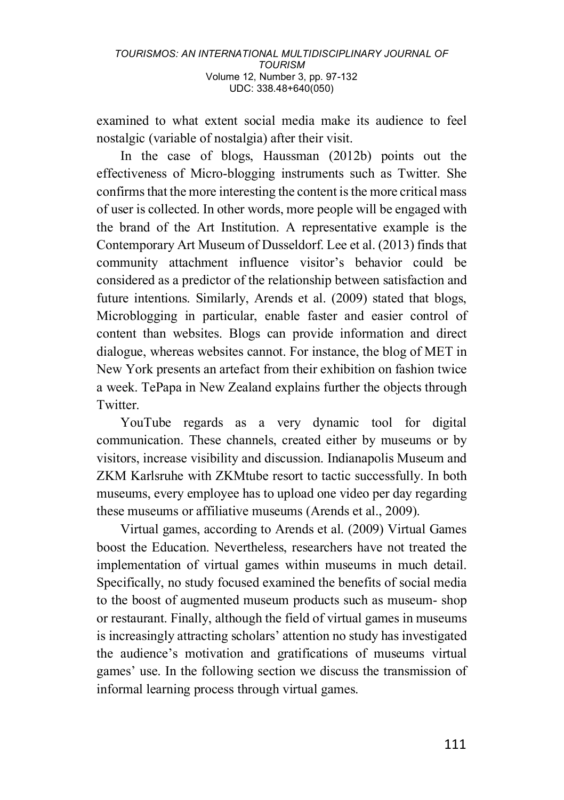examined to what extent social media make its audience to feel nostalgic (variable of nostalgia) after their visit.

In the case of blogs, Haussman (2012b) points out the effectiveness of Micro-blogging instruments such as Twitter. She confirms that the more interesting the content is the more critical mass of user is collected. In other words, more people will be engaged with the brand of the Art Institution. A representative example is the Contemporary Art Museum of Dusseldorf. Lee et al. (2013) finds that community attachment influence visitor's behavior could be considered as a predictor of the relationship between satisfaction and future intentions. Similarly, Arends et al. (2009) stated that blogs, Microblogging in particular, enable faster and easier control of content than websites. Blogs can provide information and direct dialogue, whereas websites cannot. For instance, the blog of MET in New York presents an artefact from their exhibition on fashion twice a week. TePapa in New Zealand explains further the objects through **Twitter** 

YouTube regards as a very dynamic tool for digital communication. These channels, created either by museums or by visitors, increase visibility and discussion. Indianapolis Museum and ZKM Karlsruhe with ZKMtube resort to tactic successfully. In both museums, every employee has to upload one video per day regarding these museums or affiliative museums (Arends et al., 2009).

Virtual games, according to Arends et al. (2009) Virtual Games boost the Education. Nevertheless, researchers have not treated the implementation of virtual games within museums in much detail. Specifically, no study focused examined the benefits of social media to the boost of augmented museum products such as museum- shop or restaurant. Finally, although the field of virtual games in museums is increasingly attracting scholars' attention no study has investigated the audience's motivation and gratifications of museums virtual games' use. In the following section we discuss the transmission of informal learning process through virtual games.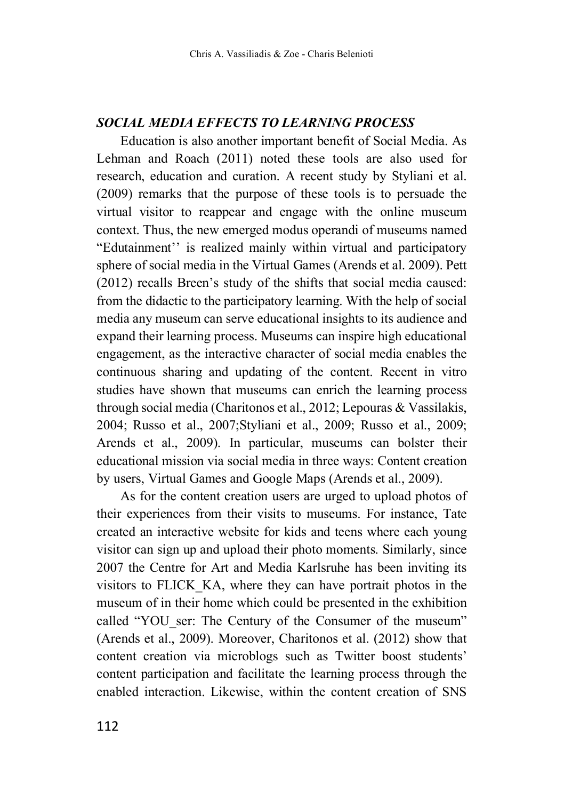# *SOCIAL MEDIA EFFECTS TO LEARNING PROCESS*

Education is also another important benefit of Social Media. As Lehman and Roach (2011) noted these tools are also used for research, education and curation. A recent study by Styliani et al. (2009) remarks that the purpose of these tools is to persuade the virtual visitor to reappear and engage with the online museum context. Thus, the new emerged modus operandi of museums named "Edutainment'' is realized mainly within virtual and participatory sphere of social media in the Virtual Games (Arends et al. 2009). Pett (2012) recalls Breen's study of the shifts that social media caused: from the didactic to the participatory learning. With the help of social media any museum can serve educational insights to its audience and expand their learning process. Museums can inspire high educational engagement, as the interactive character of social media enables the continuous sharing and updating of the content. Recent in vitro studies have shown that museums can enrich the learning process through social media (Charitonos et al., 2012; Lepouras & Vassilakis, 2004; Russo et al., 2007;Styliani et al., 2009; Russo et al., 2009; Arends et al., 2009). In particular, museums can bolster their educational mission via social media in three ways: Content creation by users, Virtual Games and Google Maps (Arends et al., 2009).

As for the content creation users are urged to upload photos of their experiences from their visits to museums. For instance, Tate created an interactive website for kids and teens where each young visitor can sign up and upload their photo moments. Similarly, since 2007 the Centre for Art and Media Karlsruhe has been inviting its visitors to FLICK\_KA, where they can have portrait photos in the museum of in their home which could be presented in the exhibition called "YOU ser: The Century of the Consumer of the museum" (Arends et al., 2009). Moreover, Charitonos et al. (2012) show that content creation via microblogs such as Twitter boost students' content participation and facilitate the learning process through the enabled interaction. Likewise, within the content creation of SNS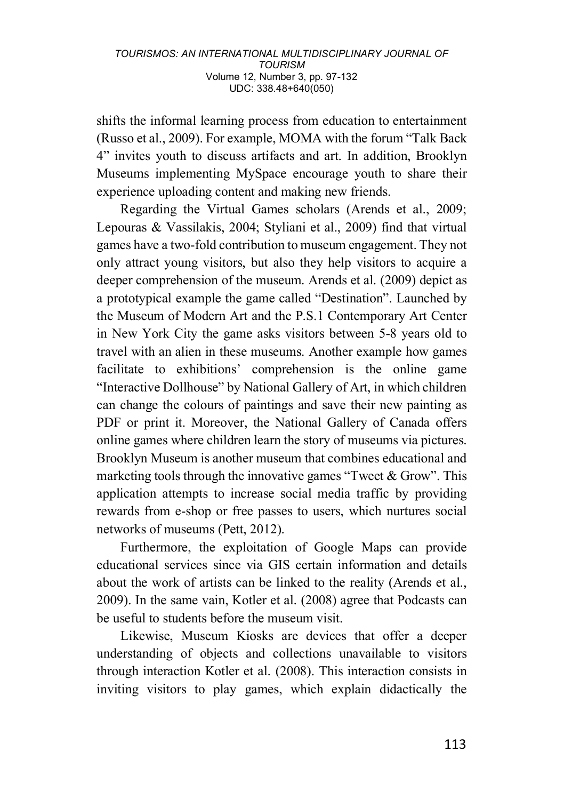shifts the informal learning process from education to entertainment (Russo et al., 2009). For example, MOMA with the forum "Talk Back 4" invites youth to discuss artifacts and art. In addition, Brooklyn Museums implementing MySpace encourage youth to share their experience uploading content and making new friends.

Regarding the Virtual Games scholars (Arends et al., 2009; Lepouras & Vassilakis, 2004; Styliani et al., 2009) find that virtual games have a two-fold contribution to museum engagement. They not only attract young visitors, but also they help visitors to acquire a deeper comprehension of the museum. Arends et al. (2009) depict as a prototypical example the game called "Destination". Launched by the Museum of Modern Art and the P.S.1 Contemporary Art Center in New York City the game asks visitors between 5-8 years old to travel with an alien in these museums. Another example how games facilitate to exhibitions' comprehension is the online game "Interactive Dollhouse" by National Gallery of Art, in which children can change the colours of paintings and save their new painting as PDF or print it. Moreover, the National Gallery of Canada offers online games where children learn the story of museums via pictures. Brooklyn Museum is another museum that combines educational and marketing tools through the innovative games "Tweet  $\&$  Grow". This application attempts to increase social media traffic by providing rewards from e-shop or free passes to users, which nurtures social networks of museums (Pett, 2012).

Furthermore, the exploitation of Google Maps can provide educational services since via GIS certain information and details about the work of artists can be linked to the reality (Arends et al., 2009). In the same vain, Kotler et al. (2008) agree that Podcasts can be useful to students before the museum visit.

Likewise, Museum Kiosks are devices that offer a deeper understanding of objects and collections unavailable to visitors through interaction Kotler et al. (2008). This interaction consists in inviting visitors to play games, which explain didactically the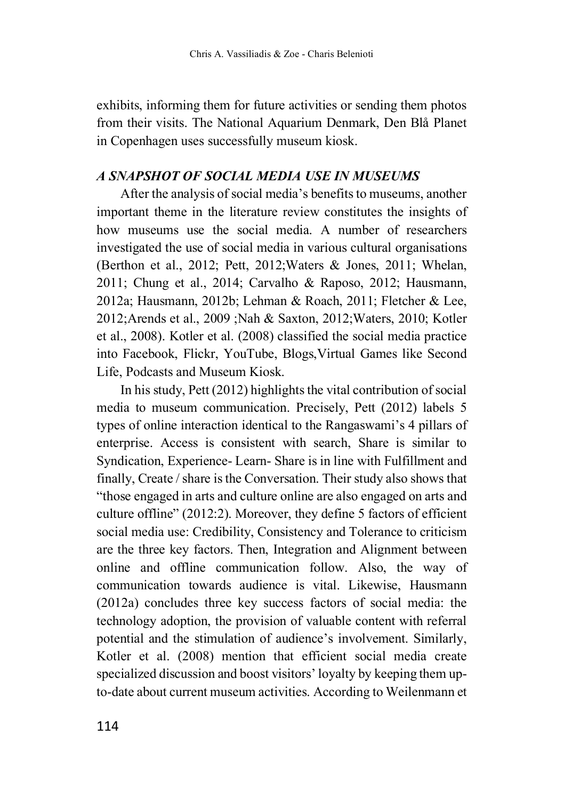exhibits, informing them for future activities or sending them photos from their visits. The National Aquarium Denmark, Den Blå Planet in Copenhagen uses successfully museum kiosk.

### *A SNAPSHOT OF SOCIAL MEDIA USE IN MUSEUMS*

After the analysis of social media's benefits to museums, another important theme in the literature review constitutes the insights of how museums use the social media. A number of researchers investigated the use of social media in various cultural organisations (Berthon et al., 2012; Pett, 2012;Waters & Jones, 2011; Whelan, 2011; Chung et al., 2014; Carvalho & Raposo, 2012; Hausmann, 2012a; Hausmann, 2012b; Lehman & Roach, 2011; Fletcher & Lee, 2012;Arends et al., 2009 ;Nah & Saxton, 2012;Waters, 2010; Kotler et al., 2008). Kotler et al. (2008) classified the social media practice into Facebook, Flickr, YouTube, Blogs,Virtual Games like Second Life, Podcasts and Museum Kiosk.

In his study, Pett (2012) highlights the vital contribution of social media to museum communication. Precisely, Pett (2012) labels 5 types of online interaction identical to the Rangaswami's 4 pillars of enterprise. Access is consistent with search, Share is similar to Syndication, Experience- Learn- Share is in line with Fulfillment and finally, Create / share is the Conversation. Their study also shows that "those engaged in arts and culture online are also engaged on arts and culture offline" (2012:2). Moreover, they define 5 factors of efficient social media use: Credibility, Consistency and Tolerance to criticism are the three key factors. Then, Integration and Alignment between online and offline communication follow. Also, the way of communication towards audience is vital. Likewise, Hausmann (2012a) concludes three key success factors of social media: the technology adoption, the provision of valuable content with referral potential and the stimulation of audience's involvement. Similarly, Kotler et al. (2008) mention that efficient social media create specialized discussion and boost visitors' loyalty by keeping them upto-date about current museum activities. According to Weilenmann et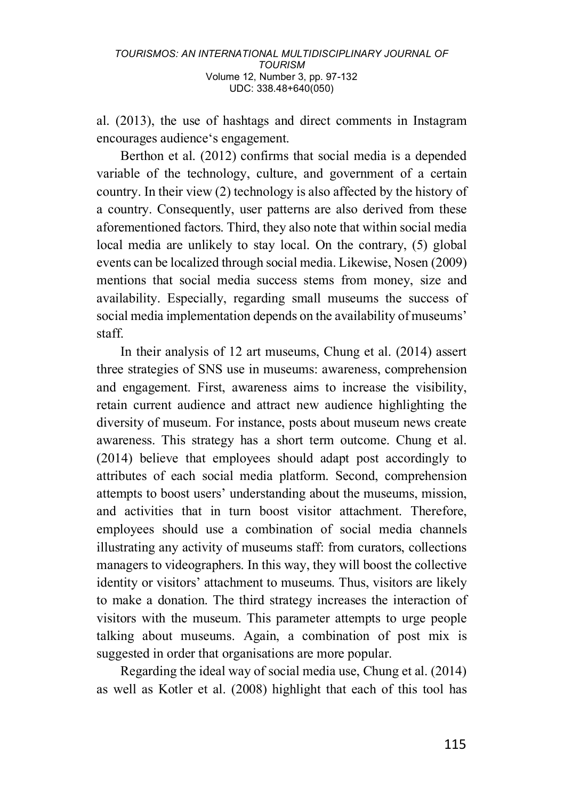al. (2013), the use of hashtags and direct comments in Instagram encourages audience's engagement.

Berthon et al. (2012) confirms that social media is a depended variable of the technology, culture, and government of a certain country. In their view (2) technology is also affected by the history of a country. Consequently, user patterns are also derived from these aforementioned factors. Third, they also note that within social media local media are unlikely to stay local. On the contrary, (5) global events can be localized through social media. Likewise, Nosen (2009) mentions that social media success stems from money, size and availability. Especially, regarding small museums the success of social media implementation depends on the availability of museums' staff.

In their analysis of 12 art museums, Chung et al. (2014) assert three strategies of SNS use in museums: awareness, comprehension and engagement. First, awareness aims to increase the visibility, retain current audience and attract new audience highlighting the diversity of museum. For instance, posts about museum news create awareness. This strategy has a short term outcome. Chung et al. (2014) believe that employees should adapt post accordingly to attributes of each social media platform. Second, comprehension attempts to boost users' understanding about the museums, mission, and activities that in turn boost visitor attachment. Therefore, employees should use a combination of social media channels illustrating any activity of museums staff: from curators, collections managers to videographers. In this way, they will boost the collective identity or visitors' attachment to museums. Thus, visitors are likely to make a donation. The third strategy increases the interaction of visitors with the museum. This parameter attempts to urge people talking about museums. Again, a combination of post mix is suggested in order that organisations are more popular.

Regarding the ideal way of social media use, Chung et al. (2014) as well as Kotler et al. (2008) highlight that each of this tool has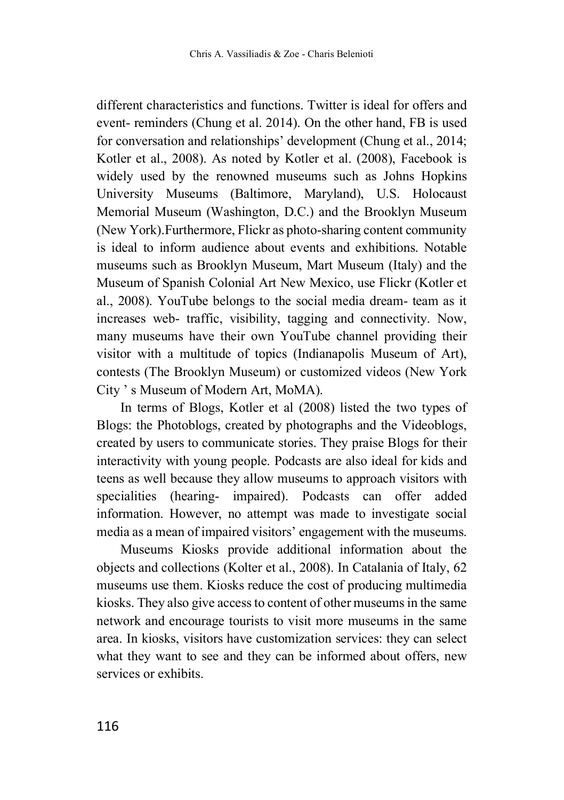different characteristics and functions. Twitter is ideal for offers and event- reminders (Chung et al. 2014). On the other hand, FB is used for conversation and relationships' development (Chung et al., 2014; Kotler et al., 2008). As noted by Kotler et al. (2008), Facebook is widely used by the renowned museums such as Johns Hopkins University Museums (Baltimore, Maryland), U.S. Holocaust Memorial Museum (Washington, D.C.) and the Brooklyn Museum (New York).Furthermore, Flickr as photo-sharing content community is ideal to inform audience about events and exhibitions. Notable museums such as Brooklyn Museum, Mart Museum (Italy) and the Museum of Spanish Colonial Art New Mexico, use Flickr (Kotler et al., 2008). YouTube belongs to the social media dream- team as it increases web- traffic, visibility, tagging and connectivity. Now, many museums have their own YouTube channel providing their visitor with a multitude of topics (Indianapolis Museum of Art), contests (The Brooklyn Museum) or customized videos (New York City ' s Museum of Modern Art, MoMA).

In terms of Blogs, Kotler et al (2008) listed the two types of Blogs: the Photoblogs, created by photographs and the Videoblogs, created by users to communicate stories. They praise Blogs for their interactivity with young people. Podcasts are also ideal for kids and teens as well because they allow museums to approach visitors with specialities (hearing- impaired). Podcasts can offer added information. However, no attempt was made to investigate social media as a mean of impaired visitors' engagement with the museums.

Museums Kiosks provide additional information about the objects and collections (Kolter et al., 2008). Ιn Catalania of Italy, 62 museums use them. Kiosks reduce the cost of producing multimedia kiosks. They also give access to content of other museums in the same network and encourage tourists to visit more museums in the same area. In kiosks, visitors have customization services: they can select what they want to see and they can be informed about offers, new services or exhibits.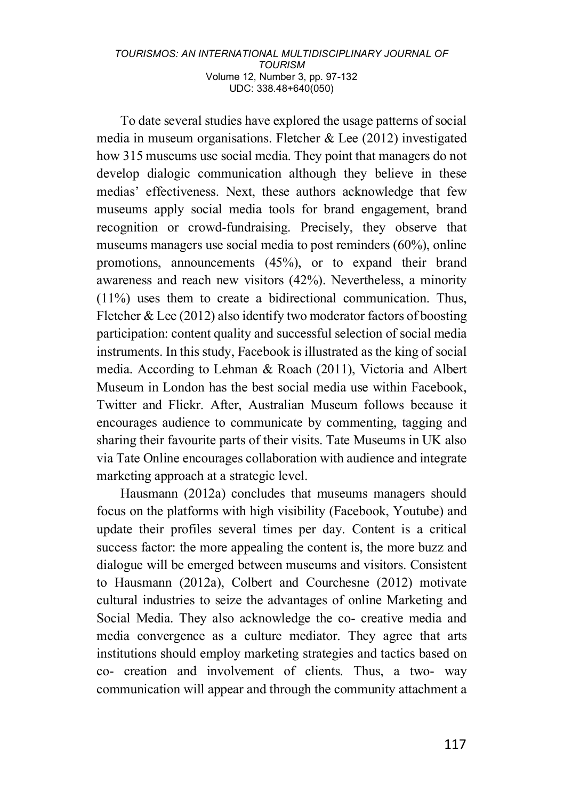To date several studies have explored the usage patterns of social media in museum organisations. Fletcher & Lee (2012) investigated how 315 museums use social media. They point that managers do not develop dialogic communication although they believe in these medias' effectiveness. Next, these authors acknowledge that few museums apply social media tools for brand engagement, brand recognition or crowd-fundraising. Precisely, they observe that museums managers use social media to post reminders (60%), online promotions, announcements (45%), or to expand their brand awareness and reach new visitors (42%). Nevertheless, a minority (11%) uses them to create a bidirectional communication. Thus, Fletcher & Lee (2012) also identify two moderator factors of boosting participation: content quality and successful selection of social media instruments. In this study, Facebook is illustrated as the king of social media. According to Lehman & Roach (2011), Victoria and Albert Museum in London has the best social media use within Facebook, Twitter and Flickr. After, Australian Museum follows because it encourages audience to communicate by commenting, tagging and sharing their favourite parts of their visits. Tate Museums in UK also via Tate Online encourages collaboration with audience and integrate marketing approach at a strategic level.

Hausmann (2012a) concludes that museums managers should focus on the platforms with high visibility (Facebook, Youtube) and update their profiles several times per day. Content is a critical success factor: the more appealing the content is, the more buzz and dialogue will be emerged between museums and visitors. Consistent to Hausmann (2012a), Colbert and Courchesne (2012) motivate cultural industries to seize the advantages of online Marketing and Social Media. They also acknowledge the co- creative media and media convergence as a culture mediator. They agree that arts institutions should employ marketing strategies and tactics based on co- creation and involvement of clients. Thus, a two- way communication will appear and through the community attachment a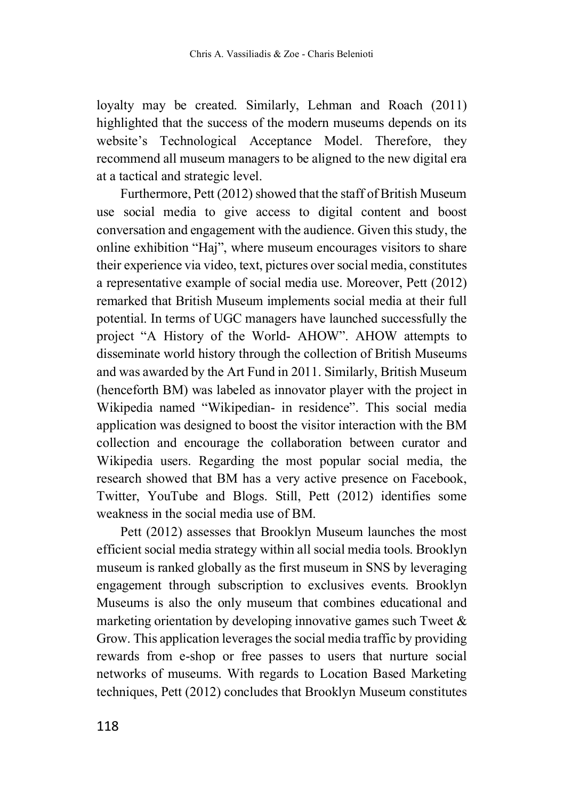loyalty may be created. Similarly, Lehman and Roach (2011) highlighted that the success of the modern museums depends on its website's Technological Acceptance Model. Therefore, they recommend all museum managers to be aligned to the new digital era at a tactical and strategic level.

Furthermore, Pett (2012) showed that the staff of British Museum use social media to give access to digital content and boost conversation and engagement with the audience. Given this study, the online exhibition "Haj", where museum encourages visitors to share their experience via video, text, pictures over social media, constitutes a representative example of social media use. Moreover, Pett (2012) remarked that British Museum implements social media at their full potential. In terms of UGC managers have launched successfully the project "A History of the World- AHOW". AHOW attempts to disseminate world history through the collection of British Museums and was awarded by the Art Fund in 2011. Similarly, British Museum (henceforth BM) was labeled as innovator player with the project in Wikipedia named "Wikipedian- in residence". This social media application was designed to boost the visitor interaction with the BM collection and encourage the collaboration between curator and Wikipedia users. Regarding the most popular social media, the research showed that BM has a very active presence on Facebook, Twitter, YouTube and Blogs. Still, Pett (2012) identifies some weakness in the social media use of BM.

Pett (2012) assesses that Brooklyn Museum launches the most efficient social media strategy within all social media tools. Brooklyn museum is ranked globally as the first museum in SNS by leveraging engagement through subscription to exclusives events. Brooklyn Museums is also the only museum that combines educational and marketing orientation by developing innovative games such Tweet  $\&$ Grow. This application leverages the social media traffic by providing rewards from e-shop or free passes to users that nurture social networks of museums. With regards to Location Based Marketing techniques, Pett (2012) concludes that Brooklyn Museum constitutes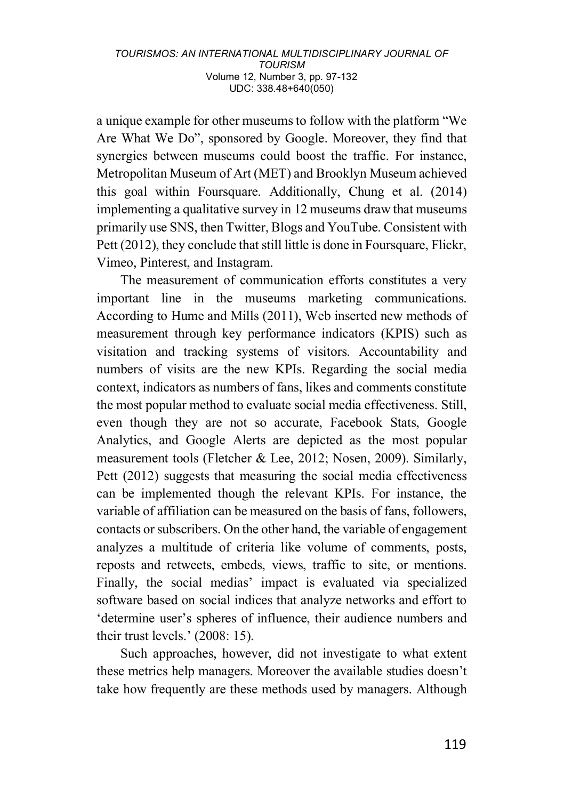a unique example for other museums to follow with the platform "We Are What We Do", sponsored by Google. Moreover, they find that synergies between museums could boost the traffic. For instance, Metropolitan Museum of Art (MET) and Brooklyn Museum achieved this goal within Foursquare. Additionally, Chung et al. (2014) implementing a qualitative survey in 12 museums draw that museums primarily use SNS, then Twitter, Blogs and YouTube. Consistent with Pett (2012), they conclude that still little is done in Foursquare, Flickr, Vimeo, Pinterest, and Instagram.

The measurement of communication efforts constitutes a very important line in the museums marketing communications. According to Hume and Mills (2011), Web inserted new methods of measurement through key performance indicators (KPIS) such as visitation and tracking systems of visitors. Accountability and numbers of visits are the new KPIs. Regarding the social media context, indicators as numbers of fans, likes and comments constitute the most popular method to evaluate social media effectiveness. Still, even though they are not so accurate, Facebook Stats, Google Analytics, and Google Alerts are depicted as the most popular measurement tools (Fletcher & Lee, 2012; Nosen, 2009). Similarly, Pett (2012) suggests that measuring the social media effectiveness can be implemented though the relevant KPIs. For instance, the variable of affiliation can be measured on the basis of fans, followers, contacts or subscribers. On the other hand, the variable of engagement analyzes a multitude of criteria like volume of comments, posts, reposts and retweets, embeds, views, traffic to site, or mentions. Finally, the social medias' impact is evaluated via specialized software based on social indices that analyze networks and effort to 'determine user's spheres of influence, their audience numbers and their trust levels.' (2008: 15).

Such approaches, however, did not investigate to what extent these metrics help managers. Moreover the available studies doesn't take how frequently are these methods used by managers. Although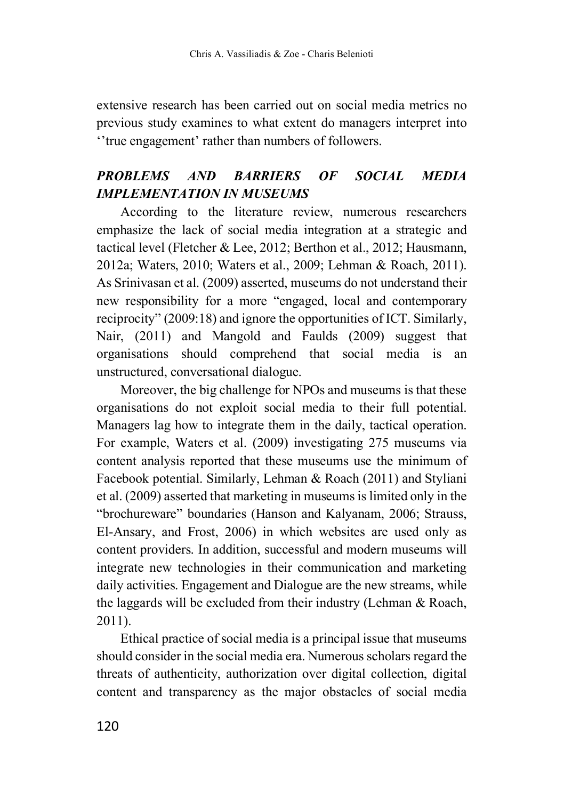extensive research has been carried out on social media metrics no previous study examines to what extent do managers interpret into ''true engagement' rather than numbers of followers.

# *PROBLEMS AND BARRIERS OF SOCIAL MEDIA IMPLEMENTATION IN MUSEUMS*

According to the literature review, numerous researchers emphasize the lack of social media integration at a strategic and tactical level (Fletcher & Lee, 2012; Berthon et al., 2012; Hausmann, 2012a; Waters, 2010; Waters et al., 2009; Lehman & Roach, 2011). As Srinivasan et al. (2009) asserted, museums do not understand their new responsibility for a more "engaged, local and contemporary reciprocity" (2009:18) and ignore the opportunities of ICT. Similarly, Nair, (2011) and Mangold and Faulds (2009) suggest that organisations should comprehend that social media is an unstructured, conversational dialogue.

Moreover, the big challenge for NPOs and museums is that these organisations do not exploit social media to their full potential. Managers lag how to integrate them in the daily, tactical operation. For example, Waters et al. (2009) investigating 275 museums via content analysis reported that these museums use the minimum of Facebook potential. Similarly, Lehman & Roach (2011) and Styliani et al. (2009) asserted that marketing in museums is limited only in the "brochureware" boundaries (Hanson and Kalyanam, 2006; Strauss, El-Ansary, and Frost, 2006) in which websites are used only as content providers. In addition, successful and modern museums will integrate new technologies in their communication and marketing daily activities. Engagement and Dialogue are the new streams, while the laggards will be excluded from their industry (Lehman & Roach, 2011).

Ethical practice of social media is a principal issue that museums should consider in the social media era. Numerous scholars regard the threats of authenticity, authorization over digital collection, digital content and transparency as the major obstacles of social media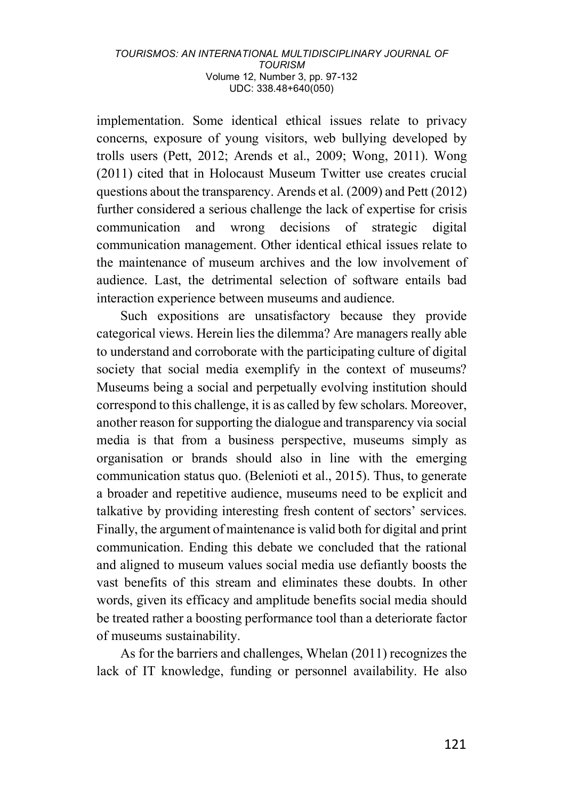implementation. Some identical ethical issues relate to privacy concerns, exposure of young visitors, web bullying developed by trolls users (Pett, 2012; Arends et al., 2009; Wong, 2011). Wong (2011) cited that in Holocaust Museum Twitter use creates crucial questions about the transparency. Arends et al. (2009) and Pett (2012) further considered a serious challenge the lack of expertise for crisis communication and wrong decisions of strategic digital communication management. Other identical ethical issues relate to the maintenance of museum archives and the low involvement of audience. Last, the detrimental selection of software entails bad interaction experience between museums and audience.

Such expositions are unsatisfactory because they provide categorical views. Herein lies the dilemma? Are managers really able to understand and corroborate with the participating culture of digital society that social media exemplify in the context of museums? Museums being a social and perpetually evolving institution should correspond to this challenge, it is as called by few scholars. Moreover, another reason for supporting the dialogue and transparency via social media is that from a business perspective, museums simply as organisation or brands should also in line with the emerging communication status quo. (Belenioti et al., 2015). Thus, to generate a broader and repetitive audience, museums need to be explicit and talkative by providing interesting fresh content of sectors' services. Finally, the argument of maintenance is valid both for digital and print communication. Ending this debate we concluded that the rational and aligned to museum values social media use defiantly boosts the vast benefits of this stream and eliminates these doubts. In other words, given its efficacy and amplitude benefits social media should be treated rather a boosting performance tool than a deteriorate factor of museums sustainability.

As for the barriers and challenges, Whelan (2011) recognizes the lack of IT knowledge, funding or personnel availability. He also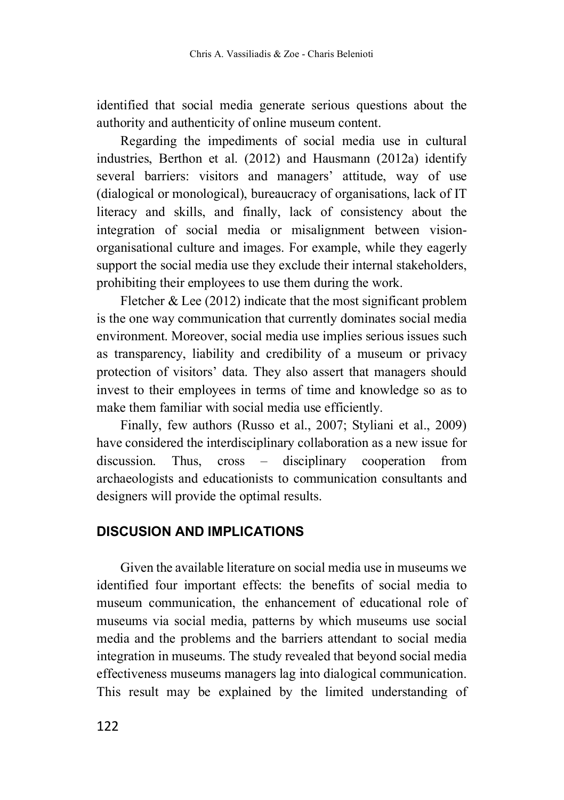identified that social media generate serious questions about the authority and authenticity of online museum content.

Regarding the impediments of social media use in cultural industries, Berthon et al. (2012) and Hausmann (2012a) identify several barriers: visitors and managers' attitude, way of use (dialogical or monological), bureaucracy of organisations, lack of IT literacy and skills, and finally, lack of consistency about the integration of social media or misalignment between visionorganisational culture and images. For example, while they eagerly support the social media use they exclude their internal stakeholders, prohibiting their employees to use them during the work.

Fletcher  $\&$  Lee (2012) indicate that the most significant problem is the one way communication that currently dominates social media environment. Moreover, social media use implies serious issues such as transparency, liability and credibility of a museum or privacy protection of visitors' data. They also assert that managers should invest to their employees in terms of time and knowledge so as to make them familiar with social media use efficiently.

Finally, few authors (Russo et al., 2007; Styliani et al., 2009) have considered the interdisciplinary collaboration as a new issue for discussion. Thus, cross – disciplinary cooperation from archaeologists and educationists to communication consultants and designers will provide the optimal results.

### **DISCUSION AND IMPLICATIONS**

Given the available literature on social media use in museums we identified four important effects: the benefits of social media to museum communication, the enhancement of educational role of museums via social media, patterns by which museums use social media and the problems and the barriers attendant to social media integration in museums. The study revealed that beyond social media effectiveness museums managers lag into dialogical communication. This result may be explained by the limited understanding of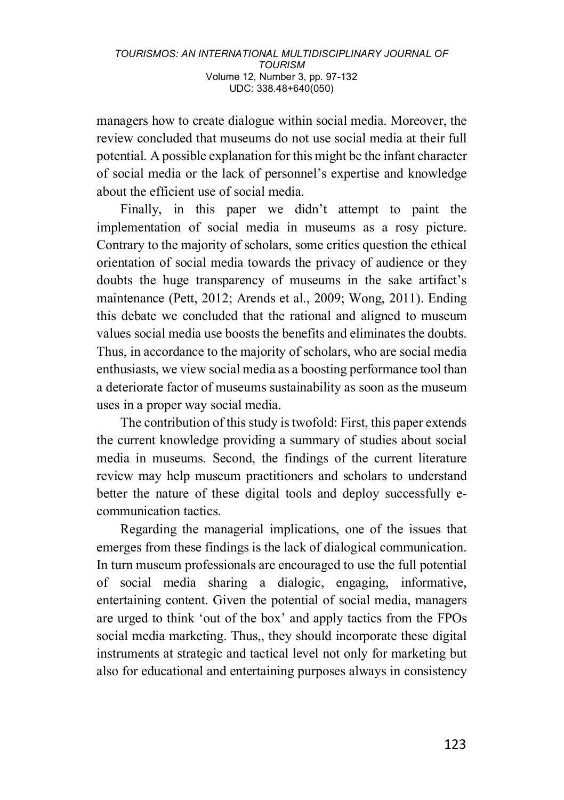managers how to create dialogue within social media. Moreover, the review concluded that museums do not use social media at their full potential. A possible explanation for this might be the infant character of social media or the lack of personnel's expertise and knowledge about the efficient use of social media.

Finally, in this paper we didn't attempt to paint the implementation of social media in museums as a rosy picture. Contrary to the majority of scholars, some critics question the ethical orientation of social media towards the privacy of audience or they doubts the huge transparency of museums in the sake artifact's maintenance (Pett, 2012; Arends et al., 2009; Wong, 2011). Ending this debate we concluded that the rational and aligned to museum values social media use boosts the benefits and eliminates the doubts. Thus, in accordance to the majority of scholars, who are social media enthusiasts, we view social media as a boosting performance tool than a deteriorate factor of museums sustainability as soon as the museum uses in a proper way social media.

The contribution of this study is twofold: First, this paper extends the current knowledge providing a summary of studies about social media in museums. Second, the findings of the current literature review may help museum practitioners and scholars to understand better the nature of these digital tools and deploy successfully ecommunication tactics.

Regarding the managerial implications, one of the issues that emerges from these findings is the lack of dialogical communication. In turn museum professionals are encouraged to use the full potential of social media sharing a dialogic, engaging, informative, entertaining content. Given the potential of social media, managers are urged to think 'out of the box' and apply tactics from the FPOs social media marketing. Thus,, they should incorporate these digital instruments at strategic and tactical level not only for marketing but also for educational and entertaining purposes always in consistency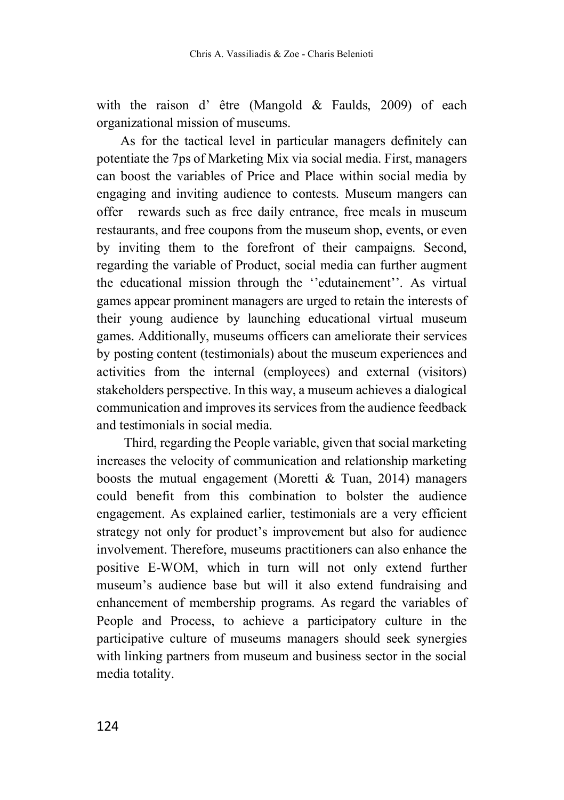with the raison d' être (Mangold & Faulds, 2009) of each organizational mission of museums.

As for the tactical level in particular managers definitely can potentiate the 7ps of Marketing Mix via social media. First, managers can boost the variables of Price and Place within social media by engaging and inviting audience to contests. Museum mangers can offer rewards such as free daily entrance, free meals in museum restaurants, and free coupons from the museum shop, events, or even by inviting them to the forefront of their campaigns. Second, regarding the variable of Product, social media can further augment the educational mission through the ''edutainement''. As virtual games appear prominent managers are urged to retain the interests of their young audience by launching educational virtual museum games. Additionally, museums officers can ameliorate their services by posting content (testimonials) about the museum experiences and activities from the internal (employees) and external (visitors) stakeholders perspective. In this way, a museum achieves a dialogical communication and improves its services from the audience feedback and testimonials in social media.

Third, regarding the People variable, given that social marketing increases the velocity of communication and relationship marketing boosts the mutual engagement (Moretti & Tuan, 2014) managers could benefit from this combination to bolster the audience engagement. As explained earlier, testimonials are a very efficient strategy not only for product's improvement but also for audience involvement. Therefore, museums practitioners can also enhance the positive E-WOM, which in turn will not only extend further museum's audience base but will it also extend fundraising and enhancement of membership programs. As regard the variables of People and Process, to achieve a participatory culture in the participative culture of museums managers should seek synergies with linking partners from museum and business sector in the social media totality.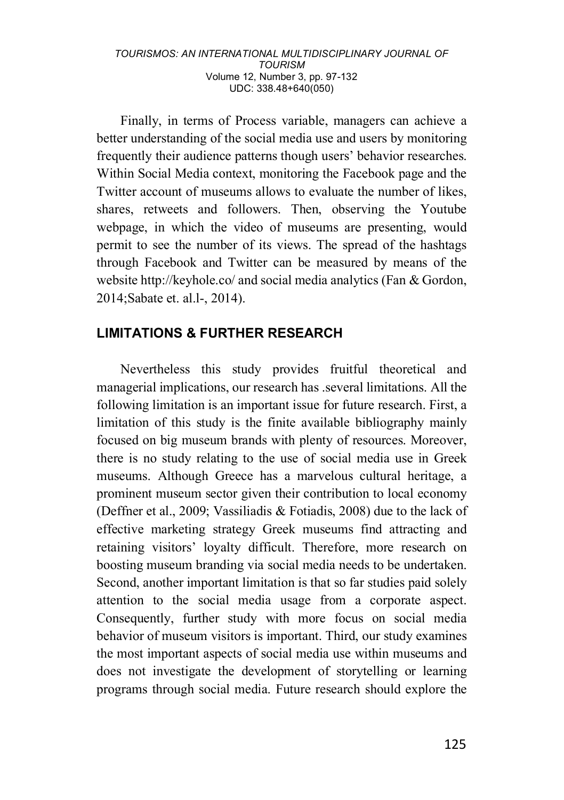Finally, in terms of Process variable, managers can achieve a better understanding of the social media use and users by monitoring frequently their audience patterns though users' behavior researches. Within Social Media context, monitoring the Facebook page and the Twitter account of museums allows to evaluate the number of likes, shares, retweets and followers. Then, observing the Youtube webpage, in which the video of museums are presenting, would permit to see the number of its views. The spread of the hashtags through Facebook and Twitter can be measured by means of the website http://keyhole.co/ and social media analytics (Fan & Gordon, 2014;Sabate et. al.l-, 2014).

### **LIMITATIONS & FURTHER RESEARCH**

Nevertheless this study provides fruitful theoretical and managerial implications, our research has .several limitations. All the following limitation is an important issue for future research. First, a limitation of this study is the finite available bibliography mainly focused on big museum brands with plenty of resources. Moreover, there is no study relating to the use of social media use in Greek museums. Although Greece has a marvelous cultural heritage, a prominent museum sector given their contribution to local economy (Deffner et al., 2009; Vassiliadis & Fotiadis, 2008) due to the lack of effective marketing strategy Greek museums find attracting and retaining visitors' loyalty difficult. Therefore, more research on boosting museum branding via social media needs to be undertaken. Second, another important limitation is that so far studies paid solely attention to the social media usage from a corporate aspect. Consequently, further study with more focus on social media behavior of museum visitors is important. Third, our study examines the most important aspects of social media use within museums and does not investigate the development of storytelling or learning programs through social media. Future research should explore the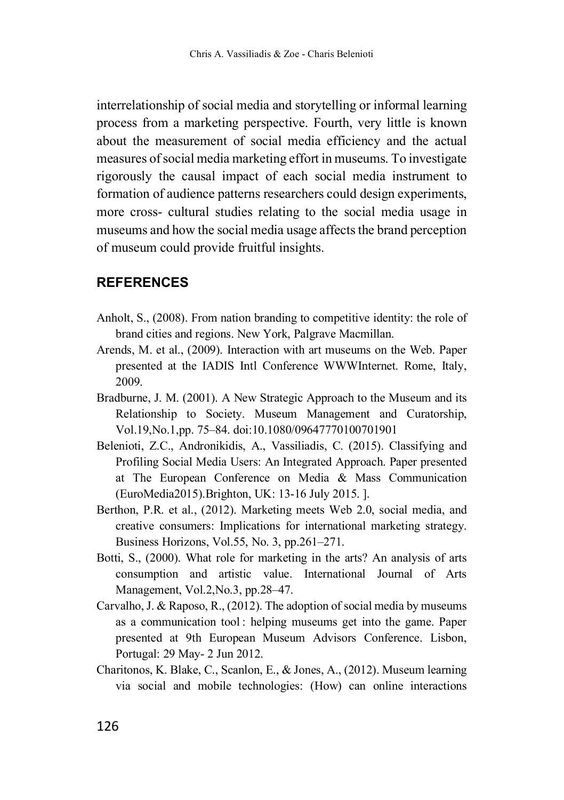interrelationship of social media and storytelling or informal learning process from a marketing perspective. Fourth, very little is known about the measurement of social media efficiency and the actual measures of social media marketing effort in museums. To investigate rigorously the causal impact of each social media instrument to formation of audience patterns researchers could design experiments, more cross- cultural studies relating to the social media usage in museums and how the social media usage affects the brand perception of museum could provide fruitful insights.

### **REFERENCES**

- Anholt, S., (2008). From nation branding to competitive identity: the role of brand cities and regions. New York, Palgrave Macmillan.
- Arends, M. et al., (2009). Interaction with art museums on the Web. Paper presented at the IADIS Intl Conference WWWInternet. Rome, Italy, 2009.
- Bradburne, J. M. (2001). A New Strategic Approach to the Museum and its Relationship to Society. Museum Management and Curatorship, Vol.19,No.1,pp. 75–84. doi:10.1080/09647770100701901
- Belenioti, Z.C., Andronikidis, A., Vassiliadis, C. (2015). Classifying and Profiling Social Media Users: An Integrated Approach. Paper presented at The European Conference on Media & Mass Communication (EuroMedia2015).Brighton, UK: 13-16 July 2015. ].
- Berthon, P.R. et al., (2012). Marketing meets Web 2.0, social media, and creative consumers: Implications for international marketing strategy. Business Horizons, Vol.55, No. 3, pp.261–271.
- Botti, S., (2000). What role for marketing in the arts? An analysis of arts consumption and artistic value. International Journal of Arts Management, Vol.2,No.3, pp.28–47.
- Carvalho, J. & Raposo, R., (2012). The adoption of social media by museums as a communication tool : helping museums get into the game. Paper presented at 9th European Museum Advisors Conference. Lisbon, Portugal: 29 May- 2 Jun 2012.
- Charitonos, K. Blake, C., Scanlon, E., & Jones, A., (2012). Museum learning via social and mobile technologies: (How) can online interactions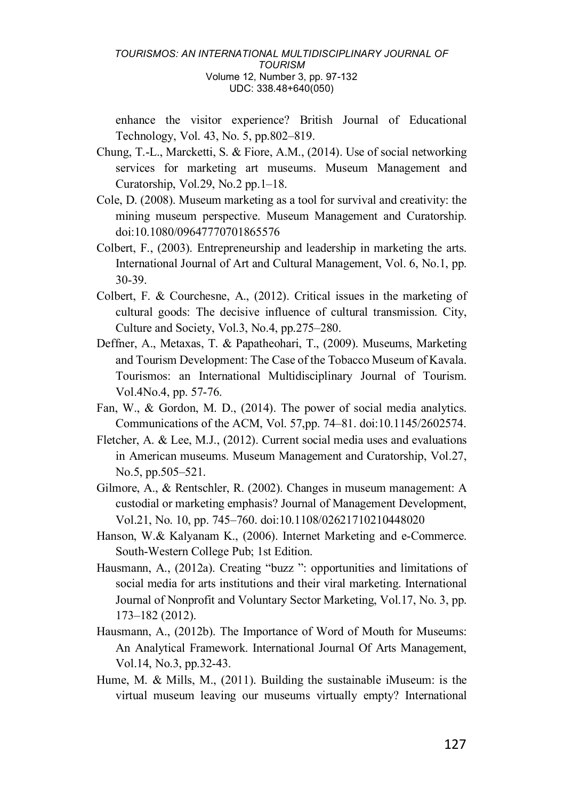enhance the visitor experience? British Journal of Educational Technology, Vol. 43, No. 5, pp.802–819.

- Chung, T.-L., Marcketti, S. & Fiore, A.M., (2014). Use of social networking services for marketing art museums. Museum Management and Curatorship, Vol.29, No.2 pp.1–18.
- Cole, D. (2008). Museum marketing as a tool for survival and creativity: the mining museum perspective. Museum Management and Curatorship. doi:10.1080/09647770701865576
- Colbert, F., (2003). Entrepreneurship and leadership in marketing the arts. International Journal of Art and Cultural Management, Vol. 6, No.1, pp. 30-39.
- Colbert, F. & Courchesne, A., (2012). Critical issues in the marketing of cultural goods: The decisive influence of cultural transmission. City, Culture and Society, Vol.3, No.4, pp.275–280.
- Deffner, A., Metaxas, T. & Papatheohari, T., (2009). Museums, Marketing and Tourism Development: The Case of the Tobacco Museum of Kavala. Tourismos: an International Multidisciplinary Journal of Tourism. Vol.4No.4, pp. 57-76.
- Fan, W., & Gordon, M. D., (2014). The power of social media analytics. Communications of the ACM, Vol. 57,pp. 74–81. doi:10.1145/2602574.
- Fletcher, A. & Lee, M.J., (2012). Current social media uses and evaluations in American museums. Museum Management and Curatorship, Vol.27, No.5, pp.505–521.
- Gilmore, A., & Rentschler, R. (2002). Changes in museum management: A custodial or marketing emphasis? Journal of Management Development, Vol.21, No. 10, pp. 745–760. doi:10.1108/02621710210448020
- Hanson, W.& Kalyanam K., (2006). Internet Marketing and e-Commerce. South-Western College Pub; 1st Edition.
- Hausmann, A., (2012a). Creating "buzz ": opportunities and limitations of social media for arts institutions and their viral marketing. International Journal of Nonprofit and Voluntary Sector Marketing, Vol.17, No. 3, pp. 173–182 (2012).
- Hausmann, A., (2012b). The Importance of Word of Mouth for Museums: An Analytical Framework. International Journal Of Arts Management, Vol.14, No.3, pp.32-43.
- Hume, M. & Mills, M., (2011). Building the sustainable iMuseum: is the virtual museum leaving our museums virtually empty? International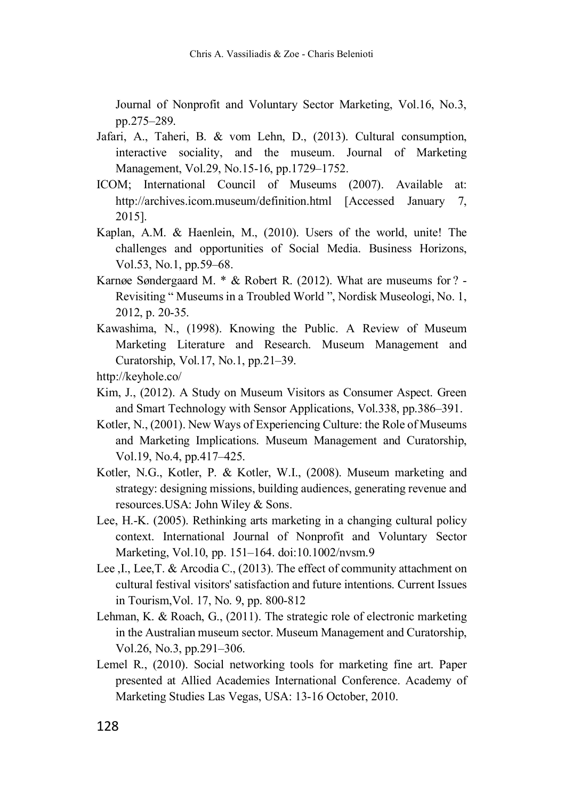Journal of Nonprofit and Voluntary Sector Marketing, Vol.16, No.3, pp.275–289.

- Jafari, A., Taheri, B. & vom Lehn, D., (2013). Cultural consumption, interactive sociality, and the museum. Journal of Marketing Management, Vol.29, No.15-16, pp.1729–1752.
- ICOM; International Council of Museums (2007). Available at: http://archives.icom.museum/definition.html [Accessed January 7, 2015].
- Kaplan, A.M. & Haenlein, M., (2010). Users of the world, unite! The challenges and opportunities of Social Media. Business Horizons, Vol.53, No.1, pp.59–68.
- Karnøe Søndergaard M. \* & Robert R. (2012). What are museums for ? Revisiting " Museums in a Troubled World ", Nordisk Museologi, No. 1, 2012, p. 20-35.
- Kawashima, N., (1998). Knowing the Public. A Review of Museum Marketing Literature and Research. Museum Management and Curatorship, Vol.17, No.1, pp.21–39.
- http://keyhole.co/
- Kim, J., (2012). A Study on Museum Visitors as Consumer Aspect. Green and Smart Technology with Sensor Applications, Vol.338, pp.386–391.
- Kotler, N., (2001). New Ways of Experiencing Culture: the Role of Museums and Marketing Implications. Museum Management and Curatorship, Vol.19, No.4, pp.417–425.
- Kotler, N.G., Kotler, P. & Kotler, W.I., (2008). Museum marketing and strategy: designing missions, building audiences, generating revenue and resources.USA: John Wiley & Sons.
- Lee, H.-K. (2005). Rethinking arts marketing in a changing cultural policy context. International Journal of Nonprofit and Voluntary Sector Marketing, Vol.10, pp. 151–164. doi:10.1002/nvsm.9
- Lee ,I., Lee,T. & Arcodia C., (2013). The effect of community attachment on cultural festival visitors' satisfaction and future intentions. Current Issues in Tourism,Vol. 17, No. 9, pp. 800-812
- Lehman, K. & Roach, G., (2011). The strategic role of electronic marketing in the Australian museum sector. Museum Management and Curatorship, Vol.26, No.3, pp.291–306.
- Lemel R., (2010). Social networking tools for marketing fine art. Paper presented at Allied Academies International Conference. Academy of Marketing Studies Las Vegas, USA: 13-16 October, 2010.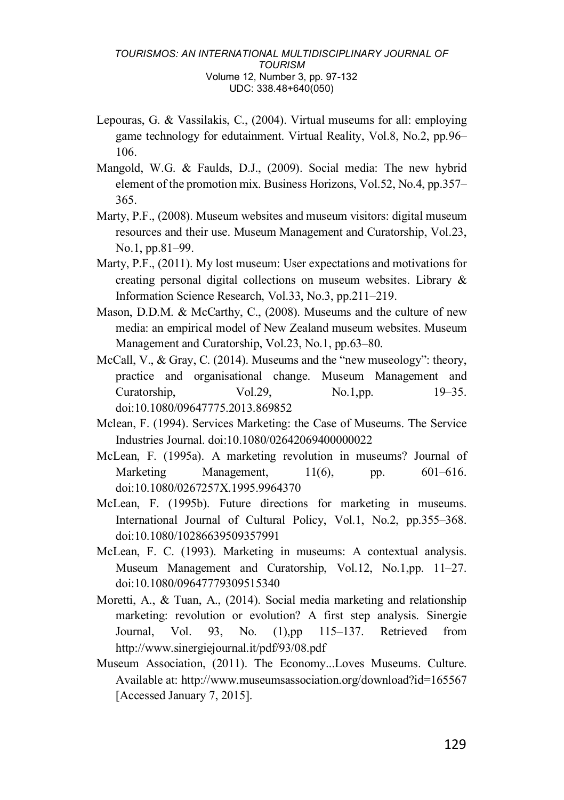- Lepouras, G. & Vassilakis, C., (2004). Virtual museums for all: employing game technology for edutainment. Virtual Reality, Vol.8, No.2, pp.96– 106.
- Mangold, W.G. & Faulds, D.J., (2009). Social media: The new hybrid element of the promotion mix. Business Horizons, Vol.52, No.4, pp.357– 365.
- Marty, P.F., (2008). Museum websites and museum visitors: digital museum resources and their use. Museum Management and Curatorship, Vol.23, No.1, pp.81–99.
- Marty, P.F., (2011). My lost museum: User expectations and motivations for creating personal digital collections on museum websites. Library & Information Science Research, Vol.33, No.3, pp.211–219.
- Mason, D.D.M. & McCarthy, C., (2008). Museums and the culture of new media: an empirical model of New Zealand museum websites. Museum Management and Curatorship, Vol.23, No.1, pp.63–80.
- McCall, V., & Gray, C. (2014). Museums and the "new museology": theory, practice and organisational change. Museum Management and Curatorship,  $Vol.29$ ,  $No.1$ ,pp.  $19-35$ . doi:10.1080/09647775.2013.869852
- Mclean, F. (1994). Services Marketing: the Case of Museums. The Service Industries Journal. doi:10.1080/02642069400000022
- McLean, F. (1995a). A marketing revolution in museums? Journal of Marketing Management, 11(6), pp. 601–616. doi:10.1080/0267257X.1995.9964370
- McLean, F. (1995b). Future directions for marketing in museums. International Journal of Cultural Policy, Vol.1, No.2, pp.355–368. doi:10.1080/10286639509357991
- McLean, F. C. (1993). Marketing in museums: A contextual analysis. Museum Management and Curatorship, Vol.12, No.1,pp. 11–27. doi:10.1080/09647779309515340
- Moretti, A., & Tuan, A., (2014). Social media marketing and relationship marketing: revolution or evolution? A first step analysis. Sinergie Journal, Vol. 93, No. (1),pp 115–137. Retrieved from http://www.sinergiejournal.it/pdf/93/08.pdf
- Museum Association, (2011). The Economy...Loves Museums. Culture. Available at: http://www.museumsassociation.org/download?id=165567 [Accessed January 7, 2015].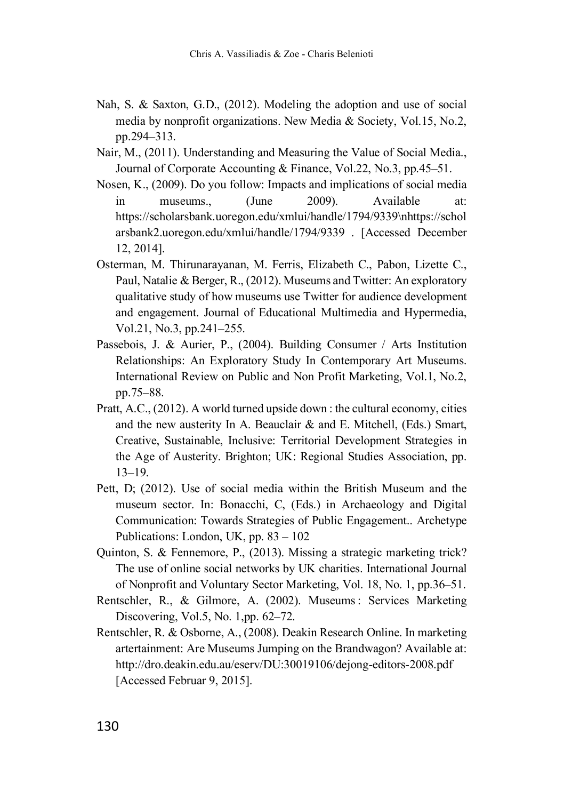- Nah, S. & Saxton, G.D., (2012). Modeling the adoption and use of social media by nonprofit organizations. New Media & Society, Vol.15, No.2, pp.294–313.
- Nair, M., (2011). Understanding and Measuring the Value of Social Media., Journal of Corporate Accounting & Finance, Vol.22, No.3, pp.45–51.
- Nosen, K., (2009). Do you follow: Impacts and implications of social media in museums. (June 2009). Available at: https://scholarsbank.uoregon.edu/xmlui/handle/1794/9339\nhttps://schol arsbank2.uoregon.edu/xmlui/handle/1794/9339 . [Accessed December 12, 2014].
- Osterman, M. Thirunarayanan, M. Ferris, Elizabeth C., Pabon, Lizette C., Paul, Natalie & Berger, R., (2012). Museums and Twitter: An exploratory qualitative study of how museums use Twitter for audience development and engagement. Journal of Educational Multimedia and Hypermedia, Vol.21, No.3, pp.241–255.
- Passebois, J. & Aurier, P., (2004). Building Consumer / Arts Institution Relationships: An Exploratory Study In Contemporary Art Museums. International Review on Public and Non Profit Marketing, Vol.1, No.2, pp.75–88.
- Pratt, A.C., (2012). A world turned upside down : the cultural economy, cities and the new austerity In A. Beauclair & and E. Mitchell, (Eds.) Smart, Creative, Sustainable, Inclusive: Territorial Development Strategies in the Age of Austerity. Brighton; UK: Regional Studies Association, pp. 13–19.
- Pett, D; (2012). Use of social media within the British Museum and the museum sector. In: Bonacchi, C, (Eds.) in Archaeology and Digital Communication: Towards Strategies of Public Engagement.. Archetype Publications: London, UK, pp. 83 – 102
- Quinton, S. & Fennemore, P., (2013). Missing a strategic marketing trick? The use of online social networks by UK charities. International Journal of Nonprofit and Voluntary Sector Marketing, Vol. 18, No. 1, pp.36–51.
- Rentschler, R., & Gilmore, A. (2002). Museums: Services Marketing Discovering, Vol.5, No. 1,pp. 62–72.
- Rentschler, R. & Osborne, A., (2008). Deakin Research Online. In marketing artertainment: Are Museums Jumping on the Brandwagon? Available at: http://dro.deakin.edu.au/eserv/DU:30019106/dejong-editors-2008.pdf [Accessed Februar 9, 2015].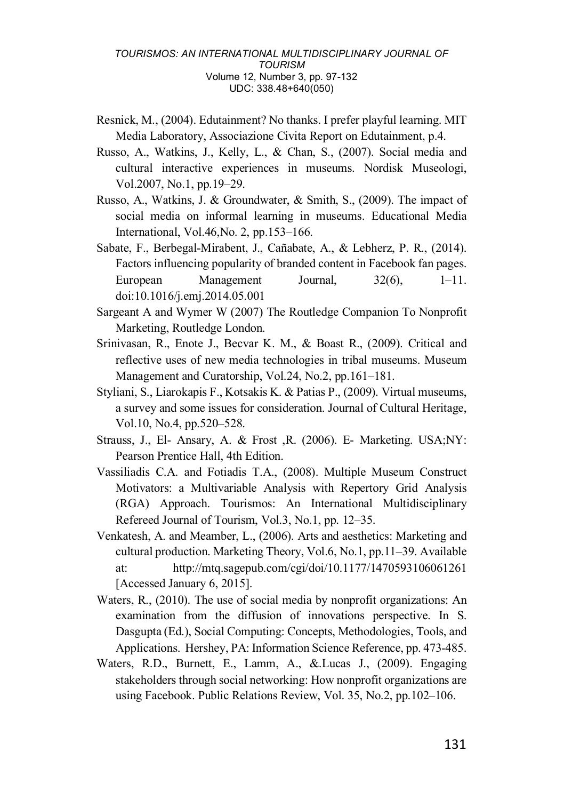- Resnick, M., (2004). Edutainment? No thanks. I prefer playful learning. MIT Media Laboratory, Associazione Civita Report on Edutainment, p.4.
- Russo, A., Watkins, J., Kelly, L., & Chan, S., (2007). Social media and cultural interactive experiences in museums. Nordisk Museologi, Vol.2007, No.1, pp.19–29.
- Russo, A., Watkins, J. & Groundwater, & Smith, S., (2009). The impact of social media on informal learning in museums. Educational Media International, Vol.46,No. 2, pp.153–166.
- Sabate, F., Berbegal-Mirabent, J., Cañabate, A., & Lebherz, P. R., (2014). Factors influencing popularity of branded content in Facebook fan pages. European Management Journal, 32(6), 1–11. doi:10.1016/j.emj.2014.05.001
- Sargeant A and Wymer W (2007) The Routledge Companion To Nonprofit Marketing, Routledge London.
- Srinivasan, R., Enote J., Becvar K. M., & Boast R., (2009). Critical and reflective uses of new media technologies in tribal museums. Museum Management and Curatorship, Vol.24, No.2, pp.161–181.
- Styliani, S., Liarokapis F., Kotsakis K. & Patias P., (2009). Virtual museums, a survey and some issues for consideration. Journal of Cultural Heritage, Vol.10, No.4, pp.520–528.
- Strauss, J., El- Ansary, A. & Frost ,R. (2006). E- Marketing. USA;NY: Pearson Prentice Hall, 4th Edition.
- Vassiliadis C.A. and Fotiadis T.A., (2008). Multiple Museum Construct Motivators: a Multivariable Analysis with Repertory Grid Analysis (RGA) Approach. Tourismos: An International Multidisciplinary Refereed Journal of Tourism, Vol.3, No.1, pp. 12–35.
- Venkatesh, A. and Meamber, L., (2006). Arts and aesthetics: Marketing and cultural production. Marketing Theory, Vol.6, No.1, pp.11–39. Available at: http://mtq.sagepub.com/cgi/doi/10.1177/1470593106061261 [Accessed January 6, 2015].
- Waters, R., (2010). The use of social media by nonprofit organizations: An examination from the diffusion of innovations perspective. In S. Dasgupta (Ed.), Social Computing: Concepts, Methodologies, Tools, and Applications. Hershey, PA: Information Science Reference, pp. 473-485.
- Waters, R.D., Burnett, E., Lamm, A., &.Lucas J., (2009). Engaging stakeholders through social networking: How nonprofit organizations are using Facebook. Public Relations Review, Vol. 35, No.2, pp.102–106.